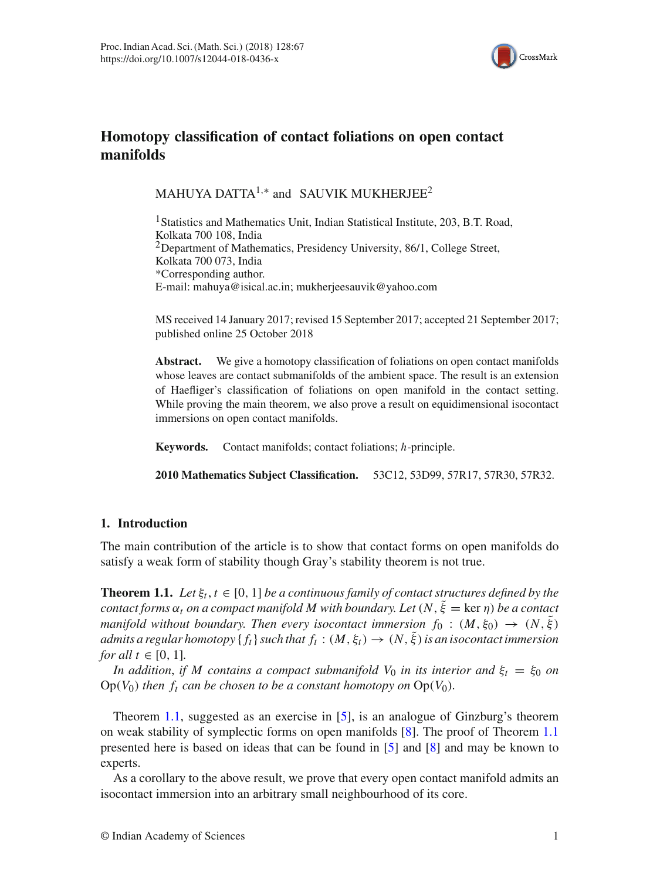

# **Homotopy classification of contact foliations on open contact manifolds**

MAHUYA DATTA<sup>1,\*</sup> and SAUVIK MUKHERJEE<sup>2</sup>

<sup>1</sup> Statistics and Mathematics Unit, Indian Statistical Institute, 203, B.T. Road, Kolkata 700 108, India  $2$ Department of Mathematics, Presidency University, 86/1, College Street, Kolkata 700 073, India \*Corresponding author. E-mail: mahuya@isical.ac.in; mukherjeesauvik@yahoo.com

MS received 14 January 2017; revised 15 September 2017; accepted 21 September 2017; published online 25 October 2018

**Abstract.** We give a homotopy classification of foliations on open contact manifolds whose leaves are contact submanifolds of the ambient space. The result is an extension of Haefliger's classification of foliations on open manifold in the contact setting. While proving the main theorem, we also prove a result on equidimensional isocontact immersions on open contact manifolds.

**Keywords.** Contact manifolds; contact foliations; *h*-principle.

<span id="page-0-0"></span>**2010 Mathematics Subject Classification.** 53C12, 53D99, 57R17, 57R30, 57R32.

## **1. Introduction**

The main contribution of the article is to show that contact forms on open manifolds do satisfy a weak form of stability though Gray's stability theorem is not true.

**Theorem 1.1.** *Let*  $\xi_t$ ,  $t \in [0, 1]$  *be a continuous family of contact structures defined by the contact forms*  $\alpha_t$  *on a compact manifold M with boundary. Let*  $(N, \tilde{\xi} = \text{ker } \eta)$  *be a contact manifold without boundary. Then every isocontact immersion*  $f_0 : (M, \xi_0) \rightarrow (N, \xi)$ *admits a regular homotopy* {  $f_t$ } *such that*  $f_t$  :  $(M, \xi_t) \rightarrow (N, \tilde{\xi})$  *is an isocontact immersion for all*  $t \in [0, 1]$ *.* 

*In addition, if M contains a compact submanifold V<sub>0</sub> in its interior and*  $\xi_t = \xi_0$  *on*  $Op(V_0)$  *then*  $f_t$  *can be chosen to be a constant homotopy on*  $Op(V_0)$ *.* 

Theorem [1.1,](#page-0-0) suggested as an exercise in [\[5](#page-22-0)], is an analogue of Ginzburg's theorem on weak stability of symplectic forms on open manifolds [\[8](#page-22-1)]. The proof of Theorem [1.1](#page-0-0) presented here is based on ideas that can be found in [\[5\]](#page-22-0) and [\[8](#page-22-1)] and may be known to experts.

As a corollary to the above result, we prove that every open contact manifold admits an isocontact immersion into an arbitrary small neighbourhood of its core.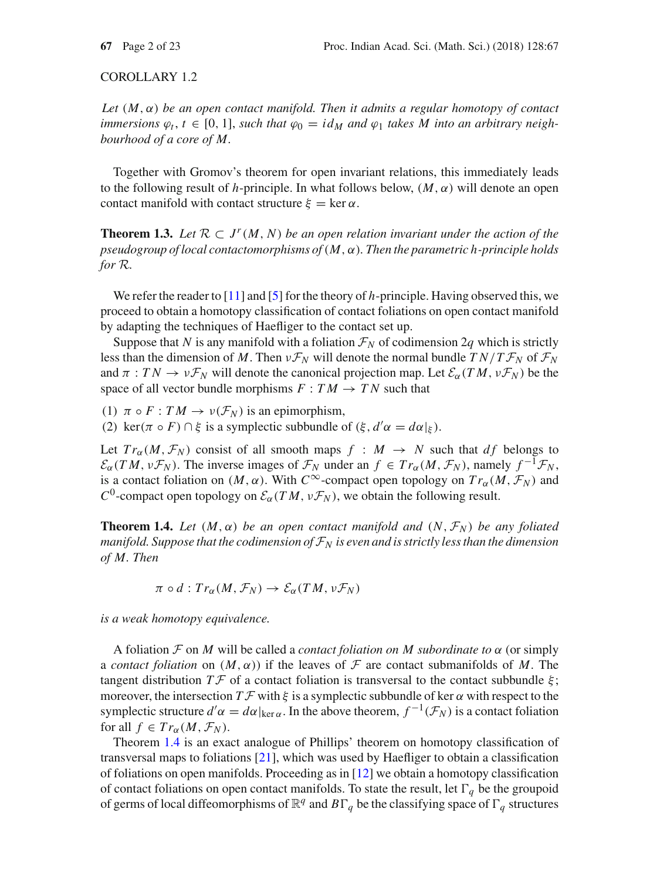## COROLLARY 1.2

*Let* (*M*, α) *be an open contact manifold. Then it admits a regular homotopy of contact immersions*  $\varphi_t$ ,  $t \in [0, 1]$ , *such that*  $\varphi_0 = id_M$  *and*  $\varphi_1$  *takes* M *into an arbitrary neighbourhood of a core of M.*

<span id="page-1-1"></span>Together with Gromov's theorem for open invariant relations, this immediately leads to the following result of *h*-principle. In what follows below,  $(M, \alpha)$  will denote an open contact manifold with contact structure  $\xi = \ker \alpha$ .

**Theorem 1.3.** Let  $\mathcal{R} \subset J^r(M, N)$  be an open relation invariant under the action of the *pseudogroup of local contactomorphisms of*(*M*, α)*. Then the parametric h-principle holds for R.*

We refer the reader to [\[11](#page-22-2)] and [\[5\]](#page-22-0) for the theory of *h*-principle. Having observed this, we proceed to obtain a homotopy classification of contact foliations on open contact manifold by adapting the techniques of Haefliger to the contact set up.

Suppose that *N* is any manifold with a foliation  $\mathcal{F}_N$  of codimension 2*q* which is strictly less than the dimension of *M*. Then  $vF_N$  will denote the normal bundle  $TN/TF_N$  of  $F_N$ and  $\pi : TN \to vF_N$  will denote the canonical projection map. Let  $\mathcal{E}_{\alpha}(TM, vF_N)$  be the space of all vector bundle morphisms  $F: TM \rightarrow TN$  such that

(1)  $\pi \circ F : TM \to \nu(\mathcal{F}_N)$  is an epimorphism,

(2) ker( $\pi \circ F$ )  $\cap \xi$  is a symplectic subbundle of ( $\xi$ ,  $d' \alpha = d\alpha|_{\xi}$ ).

Let  $Tr_{\alpha}(M, \mathcal{F}_N)$  consist of all smooth maps  $f : M \rightarrow N$  such that *df* belongs to  $\mathcal{E}_{\alpha}(TM, v\mathcal{F}_N)$ . The inverse images of  $\mathcal{F}_N$  under an  $f \in Tr_{\alpha}(M, \mathcal{F}_N)$ , namely  $f^{-1}\mathcal{F}_N$ , is a contact foliation on  $(M, \alpha)$ . With  $C^{\infty}$ -compact open topology on  $Tr_{\alpha}(M, \mathcal{F}_N)$  and *C*<sup>0</sup>-compact open topology on  $\mathcal{E}_{\alpha}(TM, v\mathcal{F}_N)$ , we obtain the following result.

**Theorem 1.4.** Let  $(M, \alpha)$  be an open contact manifold and  $(N, \mathcal{F}_N)$  be any foliated *manifold. Suppose that the codimension of*  $F_N$  *is even and is strictly less than the dimension of M. Then*

<span id="page-1-0"></span>
$$
\pi \circ d: Tr_{\alpha}(M, \mathcal{F}_N) \to \mathcal{E}_{\alpha}(TM, \nu \mathcal{F}_N)
$$

*is a weak homotopy equivalence.*

A foliation *F* on *M* will be called a *contact foliation on M subordinate to* α (or simply a *contact foliation* on  $(M, \alpha)$  if the leaves of F are contact submanifolds of M. The tangent distribution  $T\mathcal{F}$  of a contact foliation is transversal to the contact subbundle  $\xi$ ; moreover, the intersection  $T\mathcal{F}$  with  $\xi$  is a symplectic subbundle of ker  $\alpha$  with respect to the symplectic structure  $d' \alpha = d\alpha|_{\text{ker }\alpha}$ . In the above theorem,  $f^{-1}(\mathcal{F}_N)$  is a contact foliation for all  $f \in Tr_{\alpha}(M, \mathcal{F}_N)$ .

Theorem [1.4](#page-1-0) is an exact analogue of Phillips' theorem on homotopy classification of transversal maps to foliations [\[21](#page-22-3)], which was used by Haefliger to obtain a classification of foliations on open manifolds. Proceeding as in [\[12](#page-22-4)] we obtain a homotopy classification of contact foliations on open contact manifolds. To state the result, let  $\Gamma_q$  be the groupoid of germs of local diffeomorphisms of  $\mathbb{R}^q$  and  $B\Gamma_q$  be the classifying space of  $\Gamma_q$  structures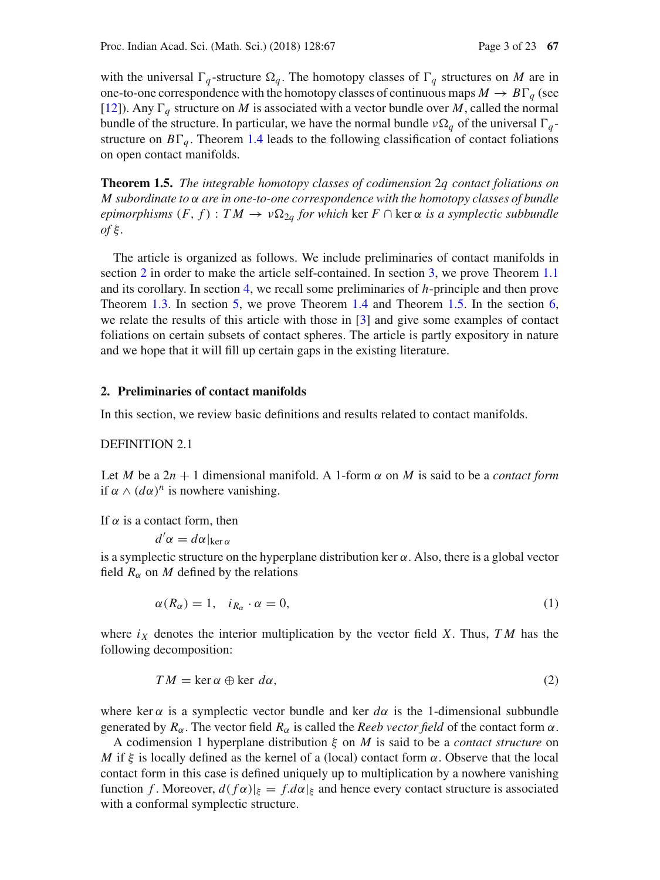with the universal  $\Gamma_q$ -structure  $\Omega_q$ . The homotopy classes of  $\Gamma_q$  structures on *M* are in one-to-one correspondence with the homotopy classes of continuous maps  $M \to B\Gamma_q$  (see [\[12\]](#page-22-4)). Any  $\Gamma_a$  structure on *M* is associated with a vector bundle over *M*, called the normal bundle of the structure. In particular, we have the normal bundle  $v\Omega_q$  of the universal  $\Gamma_q$ structure on  $B\Gamma_q$ . Theorem [1.4](#page-1-0) leads to the following classification of contact foliations on open contact manifolds.

<span id="page-2-1"></span>**Theorem 1.5.** *The integrable homotopy classes of codimension* 2*q contact foliations on M subordinate to* α *are in one-to-one correspondence with the homotopy classes of bundle epimorphisms*  $(F, f)$ :  $TM \rightarrow \nu\Omega_{2q}$  *for which* ker  $F \cap$  ker  $\alpha$  *is a symplectic subbundle*  $of \xi$ .

The article is organized as follows. We include preliminaries of contact manifolds in section [2](#page-2-0) in order to make the article self-contained. In section [3,](#page-4-0) we prove Theorem [1.1](#page-0-0) and its corollary. In section [4,](#page-8-0) we recall some preliminaries of *h*-principle and then prove Theorem [1.3.](#page-1-1) In section [5,](#page-12-0) we prove Theorem [1.4](#page-1-0) and Theorem [1.5.](#page-2-1) In the section [6,](#page-17-0) we relate the results of this article with those in [\[3](#page-22-5)] and give some examples of contact foliations on certain subsets of contact spheres. The article is partly expository in nature and we hope that it will fill up certain gaps in the existing literature.

## <span id="page-2-0"></span>**2. Preliminaries of contact manifolds**

In this section, we review basic definitions and results related to contact manifolds.

#### DEFINITION 2.1

Let *M* be a  $2n + 1$  dimensional manifold. A 1-form  $\alpha$  on *M* is said to be a *contact form* if  $\alpha \wedge (d\alpha)^n$  is nowhere vanishing.

If  $\alpha$  is a contact form, then

 $d'$ α =  $d$ α |<sub>ker α</sub>

is a symplectic structure on the hyperplane distribution ker  $\alpha$ . Also, there is a global vector field  $R_\alpha$  on *M* defined by the relations

$$
\alpha(R_{\alpha}) = 1, \quad i_{R_{\alpha}} \cdot \alpha = 0, \tag{1}
$$

where  $i_X$  denotes the interior multiplication by the vector field *X*. Thus, *TM* has the following decomposition:

$$
TM = \ker \alpha \oplus \ker d\alpha,
$$
\n(2)

where ker  $\alpha$  is a symplectic vector bundle and ker  $d\alpha$  is the 1-dimensional subbundle generated by  $R_\alpha$ . The vector field  $R_\alpha$  is called the *Reeb vector field* of the contact form  $\alpha$ .

A codimension 1 hyperplane distribution ξ on *M* is said to be a *contact structure* on *M* if  $\xi$  is locally defined as the kernel of a (local) contact form  $\alpha$ . Observe that the local contact form in this case is defined uniquely up to multiplication by a nowhere vanishing function *f*. Moreover,  $d(f\alpha)|_{\xi} = f.d\alpha|_{\xi}$  and hence every contact structure is associated with a conformal symplectic structure.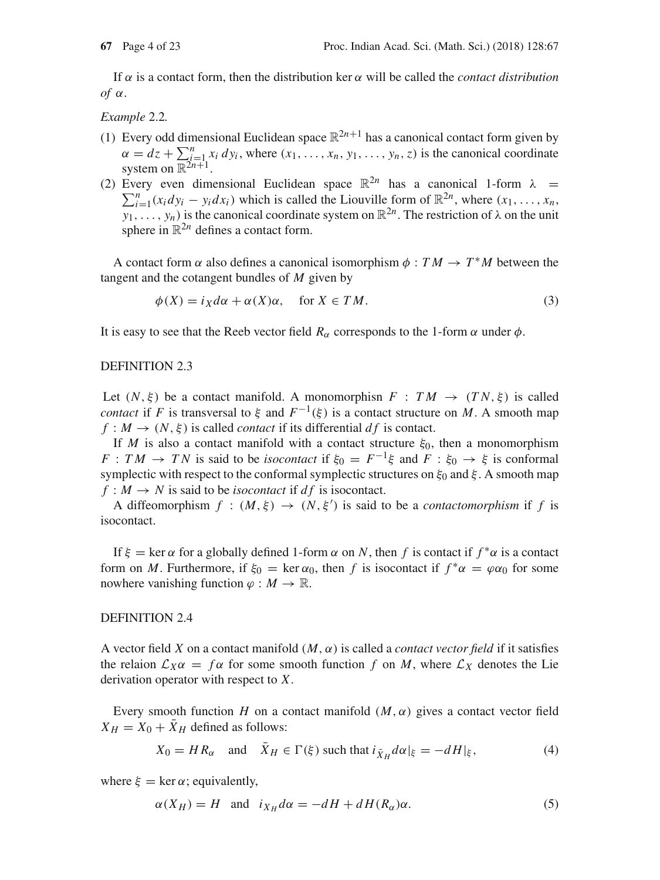If α is a contact form, then the distribution ker α will be called the *contact distribution of* α.

*Example* 2.2*.*

- (1) Every odd dimensional Euclidean space  $\mathbb{R}^{2n+1}$  has a canonical contact form given by  $\alpha = dz + \sum_{i=1}^{n} x_i dy_i$ , where  $(x_1, \ldots, x_n, y_1, \ldots, y_n, z)$  is the canonical coordinate system on  $\mathbb{R}^{2n+1}$ .
- (2) Every even dimensional Euclidean space  $\mathbb{R}^{2n}$  has a canonical 1-form  $\lambda = \sum_{n=1}^{n} (x \, dy) y \, dx$ ; which is called the Liquville form of  $\mathbb{R}^{2n}$  where  $(x, y)$  $\sum_{i=1}^{n} (x_i dy_i - y_i dx_i)$  which is called the Liouville form of  $\mathbb{R}^{2n}$ , where  $(x_1, \ldots, x_n)$ ,  $y_1, \ldots, y_n$ ) is the canonical coordinate system on  $\mathbb{R}^{2n}$ . The restriction of  $\lambda$  on the unit sphere in  $\mathbb{R}^{2n}$  defines a contact form.

A contact form  $\alpha$  also defines a canonical isomorphism  $\phi : TM \rightarrow T^*M$  between the tangent and the cotangent bundles of *M* given by

$$
\phi(X) = i_X d\alpha + \alpha(X)\alpha, \quad \text{for } X \in TM.
$$
\n(3)

It is easy to see that the Reeb vector field  $R_\alpha$  corresponds to the 1-form  $\alpha$  under  $\phi$ .

### DEFINITION 2.3

Let  $(N, \xi)$  be a contact manifold. A monomorphisn  $F : TM \rightarrow (TN, \xi)$  is called *contact* if *F* is transversal to  $\xi$  and  $F^{-1}(\xi)$  is a contact structure on *M*. A smooth map  $f : M \to (N, \xi)$  is called *contact* if its differential *df* is contact.

If *M* is also a contact manifold with a contact structure  $\xi_0$ , then a monomorphism *F* : *TM* → *TN* is said to be *isocontact* if  $\xi_0 = F^{-1}\xi$  and  $F : \xi_0 \to \xi$  is conformal symplectic with respect to the conformal symplectic structures on  $\xi_0$  and  $\xi$ . A smooth map  $f : M \to N$  is said to be *isocontact* if *df* is isocontact.

A diffeomorphism  $f : (M, \xi) \to (N, \xi')$  is said to be a *contactomorphism* if f is isocontact.

If  $\xi = \ker \alpha$  for a globally defined 1-form  $\alpha$  on N, then f is contact if  $f^* \alpha$  is a contact form on *M*. Furthermore, if  $\xi_0 = \ker \alpha_0$ , then *f* is isocontact if  $f^* \alpha = \varphi \alpha_0$  for some nowhere vanishing function  $\varphi : M \to \mathbb{R}$ .

### DEFINITION 2.4

A vector field *X* on a contact manifold  $(M, \alpha)$  is called a *contact vector field* if it satisfies the relaion  $\mathcal{L}_X \alpha = f \alpha$  for some smooth function f on M, where  $\mathcal{L}_X$  denotes the Lie derivation operator with respect to *X*.

Every smooth function *H* on a contact manifold  $(M, \alpha)$  gives a contact vector field  $X_H = X_0 + \overline{X}_H$  defined as follows:

$$
X_0 = HR_\alpha \quad \text{and} \quad \bar{X}_H \in \Gamma(\xi) \text{ such that } i_{\bar{X}_H} d\alpha|_{\xi} = -dH|_{\xi},\tag{4}
$$

where  $\xi = \ker \alpha$ ; equivalently,

$$
\alpha(X_H) = H \quad \text{and} \quad i_{X_H} d\alpha = -dH + dH(R_\alpha)\alpha. \tag{5}
$$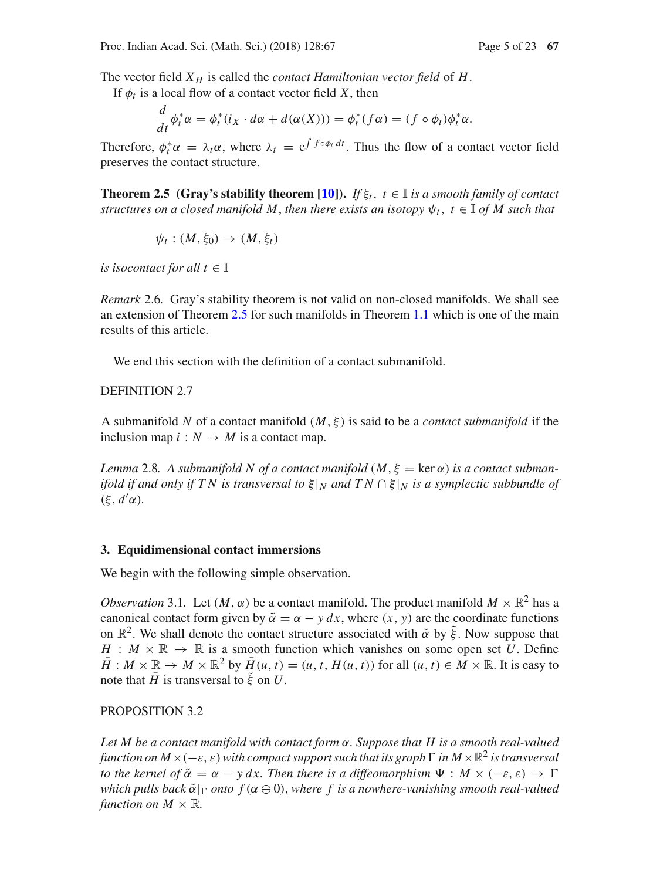The vector field  $X_H$  is called the *contact Hamiltonian vector field* of  $H$ .

If  $\phi_t$  is a local flow of a contact vector field *X*, then

$$
\frac{d}{dt}\phi_t^*\alpha = \phi_t^*(i_X \cdot d\alpha + d(\alpha(X))) = \phi_t^*(f\alpha) = (f \circ \phi_t)\phi_t^*\alpha.
$$

<span id="page-4-1"></span>Therefore,  $\phi_t^* \alpha = \lambda_t \alpha$ , where  $\lambda_t = e^{\int f \circ \phi_t dt}$ . Thus the flow of a contact vector field preserves the contact structure.

**Theorem 2.5 (Gray's stability theorem [\[10\]](#page-22-6)).** *If*  $\xi_t$ ,  $t \in \mathbb{I}$  *is a smooth family of contact structures on a closed manifold M, then there exists an isotopy*  $\psi_t$ ,  $t \in \mathbb{I}$  *of M such that* 

$$
\psi_t:(M,\xi_0)\to (M,\xi_t)
$$

*is isocontact for all*  $t \in \mathbb{I}$ 

*Remark* 2.6*.* Gray's stability theorem is not valid on non-closed manifolds. We shall see an extension of Theorem [2.5](#page-4-1) for such manifolds in Theorem [1.1](#page-0-0) which is one of the main results of this article.

We end this section with the definition of a contact submanifold.

DEFINITION 2.7

A submanifold *N* of a contact manifold  $(M, \xi)$  is said to be a *contact submanifold* if the inclusion map  $i : N \to M$  is a contact map.

*Lemma* 2.8*.* A submanifold N of a contact manifold  $(M, \xi = \ker \alpha)$  is a contact subman*ifold if and only if TN is transversal to*  $\xi|_N$  *and TN*  $\cap \xi|_N$  *is a symplectic subbundle of*  $(\xi, d'\alpha)$ .

### <span id="page-4-0"></span>**3. Equidimensional contact immersions**

We begin with the following simple observation.

*Observation* 3.1*.* Let  $(M, \alpha)$  be a contact manifold. The product manifold  $M \times \mathbb{R}^2$  has a canonical contact form given by  $\tilde{\alpha} = \alpha - y dx$ , where  $(x, y)$  are the coordinate functions on  $\mathbb{R}^2$ . We shall denote the contact structure associated with  $\tilde{\alpha}$  by  $\tilde{\xi}$ . Now suppose that *H* :  $M \times \mathbb{R} \rightarrow \mathbb{R}$  is a smooth function which vanishes on some open set *U*. Define  $\overline{H}: M \times \mathbb{R} \to M \times \mathbb{R}^2$  by  $\overline{H}(u, t) = (u, t, H(u, t))$  for all  $(u, t) \in M \times \mathbb{R}$ . It is easy to note that  $\bar{H}$  is transversal to  $\tilde{\xi}$  on *U*.

## <span id="page-4-2"></span>PROPOSITION 3.2

*Let M be a contact manifold with contact form* α*. Suppose that H is a smooth real-valued function on M*×( $-\varepsilon$ ,  $\varepsilon$ )*with compact support such that its graph*  $\Gamma$  *in M*× $\mathbb{R}^2$  *is transversal to the kernel of*  $\tilde{\alpha} = \alpha - y dx$ . Then there is a diffeomorphism  $\Psi : M \times (-\varepsilon, \varepsilon) \to \Gamma$ *which pulls back*  $\tilde{\alpha}|_{\Gamma}$  *onto*  $f(\alpha \oplus 0)$ *, where* f is a nowhere-vanishing smooth real-valued *function on*  $M \times \mathbb{R}$ *.*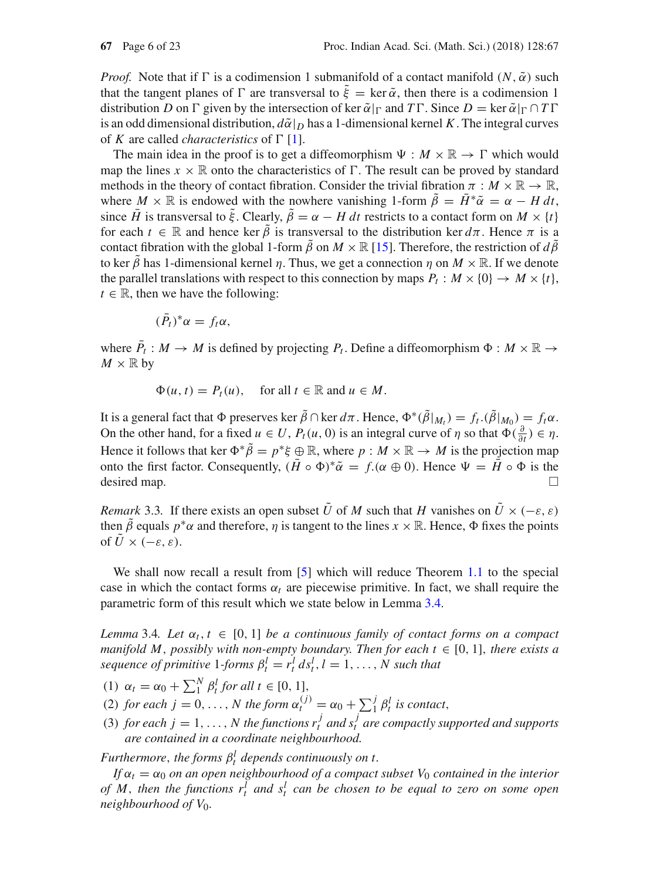*Proof.* Note that if  $\Gamma$  is a codimension 1 submanifold of a contact manifold  $(N, \tilde{\alpha})$  such that the tangent planes of  $\Gamma$  are transversal to  $\tilde{\xi} = \ker \tilde{\alpha}$ , then there is a codimension 1 distribution *D* on  $\Gamma$  given by the intersection of ker  $\tilde{\alpha}|_{\Gamma}$  and *T* $\Gamma$ . Since *D* = ker  $\tilde{\alpha}|_{\Gamma} \cap T\Gamma$ is an odd dimensional distribution,  $d\tilde{\alpha}|_D$  has a 1-dimensional kernel K. The integral curves of *K* are called *characteristics* of  $\Gamma$  [\[1](#page-22-7)].

The main idea in the proof is to get a diffeomorphism  $\Psi : M \times \mathbb{R} \to \Gamma$  which would map the lines  $x \times \mathbb{R}$  onto the characteristics of  $\Gamma$ . The result can be proved by standard methods in the theory of contact fibration. Consider the trivial fibration  $\pi : M \times \mathbb{R} \to \mathbb{R}$ , where  $M \times \mathbb{R}$  is endowed with the nowhere vanishing 1-form  $\hat{\beta} = \tilde{H}^* \tilde{\alpha} = \alpha - H dt$ , since  $\bar{H}$  is transversal to  $\tilde{\xi}$ . Clearly,  $\tilde{\beta} = \alpha - H dt$  restricts to a contact form on  $M \times \{t\}$ for each  $t \in \mathbb{R}$  and hence ker  $\tilde{\beta}$  is transversal to the distribution ker  $d\pi$ . Hence  $\pi$  is a contact fibration with the global 1-form  $\tilde{\beta}$  on  $M \times \mathbb{R}$  [\[15](#page-22-8)]. Therefore, the restriction of  $d\tilde{\beta}$ to ker  $\hat{\beta}$  has 1-dimensional kernel  $\eta$ . Thus, we get a connection  $\eta$  on  $M \times \mathbb{R}$ . If we denote the parallel translations with respect to this connection by maps  $P_t : M \times \{0\} \to M \times \{t\}$ ,  $t \in \mathbb{R}$ , then we have the following:

$$
(\bar{P}_t)^*\alpha = f_t\alpha,
$$

where  $\overline{P}_t : M \to M$  is defined by projecting  $P_t$ . Define a diffeomorphism  $\Phi : M \times \mathbb{R} \to$  $M \times \mathbb{R}$  by

 $\Phi(u, t) = P_t(u)$ , for all  $t \in \mathbb{R}$  and  $u \in M$ .

It is a general fact that Φ preserves ker  $\tilde{\beta}$  ∩ ker *dπ*. Hence,  $Φ^*(\tilde{\beta}|_{M_t}) = f_t (0|\tilde{\beta}|_{M_0}) = f_t α$ . On the other hand, for a fixed  $u \in U$ ,  $P_t(u, 0)$  is an integral curve of  $\eta$  so that  $\Phi(\frac{\partial}{\partial t}) \in \eta$ . Hence it follows that ker  $\Phi^* \tilde{\beta} = p^* \xi \oplus \mathbb{R}$ , where  $p : M \times \mathbb{R} \to M$  is the projection map onto the first factor. Consequently,  $(H \circ \Phi)^* \tilde{\alpha} = f(\alpha \oplus 0)$ . Hence  $\Psi = H \circ \Phi$  is the desired map.  $\Box$ 

<span id="page-5-1"></span>*Remark* 3.3. If there exists an open subset  $\tilde{U}$  of *M* such that *H* vanishes on  $\tilde{U} \times (-\varepsilon, \varepsilon)$ then  $\beta$  equals  $p^*\alpha$  and therefore,  $\eta$  is tangent to the lines  $x \times \mathbb{R}$ . Hence,  $\Phi$  fixes the points of  $\tilde{U} \times (-\varepsilon, \varepsilon)$ .

We shall now recall a result from [\[5\]](#page-22-0) which will reduce Theorem [1.1](#page-0-0) to the special case in which the contact forms  $\alpha_t$  are piecewise primitive. In fact, we shall require the parametric form of this result which we state below in Lemma [3.4.](#page-5-0)

<span id="page-5-0"></span>*Lemma* 3.4*.* Let  $\alpha_t$ ,  $t \in [0, 1]$  be a continuous family of contact forms on a compact *manifold M*, *possibly with non-empty boundary. Then for each*  $t \in [0, 1]$ *, there exists a sequence of primitive* 1*-forms*  $\beta_t^l = r_t^l ds_t^l$ ,  $l = 1, ..., N$  such that

- (1)  $\alpha_t = \alpha_0 + \sum_{1}^{N} \beta_t^l$  *for all t*  $\in [0, 1]$ ,
- (2) *for each*  $j = 0, ..., N$  *the form*  $\alpha_t^{(j)} = \alpha_0 + \sum_{i=1}^{j} \beta_t^i$  *is contact*,
- (3) *for each j* = 1, ..., *N the functions*  $r_t^j$  *and*  $s_t^j$  *are compactly supported and supports are contained in a coordinate neighbourhood.*

*Furthermore, the forms*  $\beta_t^l$  *depends continuously on t.* 

*If*  $\alpha_t = \alpha_0$  *on an open neighbourhood of a compact subset*  $V_0$  *contained in the interior of*  $M$ , then the functions  $r_t^l$  and  $s_t^l$  can be chosen to be equal to zero on some open *neighbourhood of V*0*.*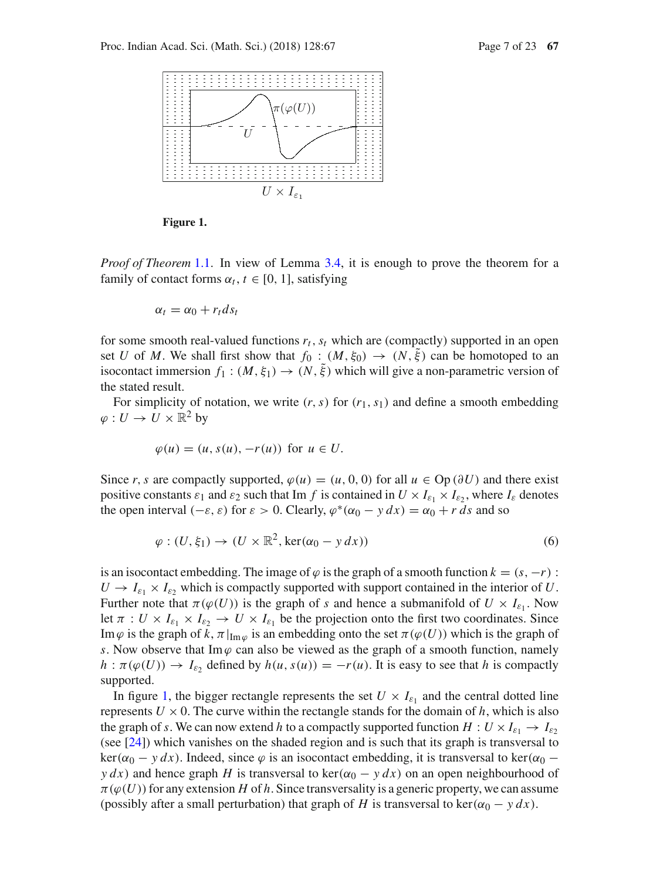

**Figure 1.**

*Proof of Theorem* [1.1.](#page-0-0) In view of Lemma [3.4,](#page-5-0) it is enough to prove the theorem for a family of contact forms  $\alpha_t$ ,  $t \in [0, 1]$ , satisfying

$$
\alpha_t = \alpha_0 + r_t ds_t
$$

for some smooth real-valued functions *rt*,*st* which are (compactly) supported in an open set *U* of *M*. We shall first show that  $f_0$  :  $(M, \xi_0) \rightarrow (N, \xi)$  can be homotoped to an isocontact immersion  $f_1 : (M, \xi_1) \to (N, \tilde{\xi})$  which will give a non-parametric version of the stated result.

For simplicity of notation, we write  $(r, s)$  for  $(r_1, s_1)$  and define a smooth embedding  $\varphi: U \to U \times \mathbb{R}^2$  by

$$
\varphi(u) = (u, s(u), -r(u)) \text{ for } u \in U.
$$

Since *r*, *s* are compactly supported,  $\varphi(u) = (u, 0, 0)$  for all  $u \in \text{Op}(\partial U)$  and there exist positive constants  $\varepsilon_1$  and  $\varepsilon_2$  such that Im *f* is contained in  $U \times I_{\varepsilon_1} \times I_{\varepsilon_2}$ , where  $I_{\varepsilon}$  denotes the open interval  $(-\varepsilon, \varepsilon)$  for  $\varepsilon > 0$ . Clearly,  $\varphi^*(\alpha_0 - y \, dx) = \alpha_0 + r \, ds$  and so

<span id="page-6-0"></span>
$$
\varphi: (U, \xi_1) \to (U \times \mathbb{R}^2, \ker(\alpha_0 - y \, dx)) \tag{6}
$$

is an isocontact embedding. The image of  $\varphi$  is the graph of a smooth function  $k = (s, -r)$ :  $U \rightarrow I_{\epsilon_1} \times I_{\epsilon_2}$  which is compactly supported with support contained in the interior of *U*. Further note that  $\pi(\varphi(U))$  is the graph of *s* and hence a submanifold of  $U \times I_{\varepsilon_1}$ . Now let  $\pi : U \times I_{\varepsilon_1} \times I_{\varepsilon_2} \to U \times I_{\varepsilon_1}$  be the projection onto the first two coordinates. Since Im $\varphi$  is the graph of  $k$ ,  $\pi|_{\text{Im}\varphi}$  is an embedding onto the set  $\pi(\varphi(U))$  which is the graph of *s*. Now observe that Im $\varphi$  can also be viewed as the graph of a smooth function, namely  $h : \pi(\varphi(U)) \to I_{\varepsilon2}$  defined by  $h(u, s(u)) = -r(u)$ . It is easy to see that *h* is compactly supported.

In figure [1,](#page-6-0) the bigger rectangle represents the set  $U \times I_{\epsilon_1}$  and the central dotted line represents  $U \times 0$ . The curve within the rectangle stands for the domain of h, which is also the graph of *s*. We can now extend *h* to a compactly supported function  $H: U \times I_{\varepsilon_1} \to I_{\varepsilon_2}$ (see [\[24\]](#page-22-9)) which vanishes on the shaded region and is such that its graph is transversal to  $\ker(\alpha_0 - y \, dx)$ . Indeed, since  $\varphi$  is an isocontact embedding, it is transversal to ker( $\alpha_0$  – *y dx*) and hence graph *H* is transversal to ker( $\alpha_0 - y dx$ ) on an open neighbourhood of  $\pi(\varphi(U))$  for any extension *H* of *h*. Since transversality is a generic property, we can assume (possibly after a small perturbation) that graph of *H* is transversal to ker( $\alpha_0 - y dx$ ).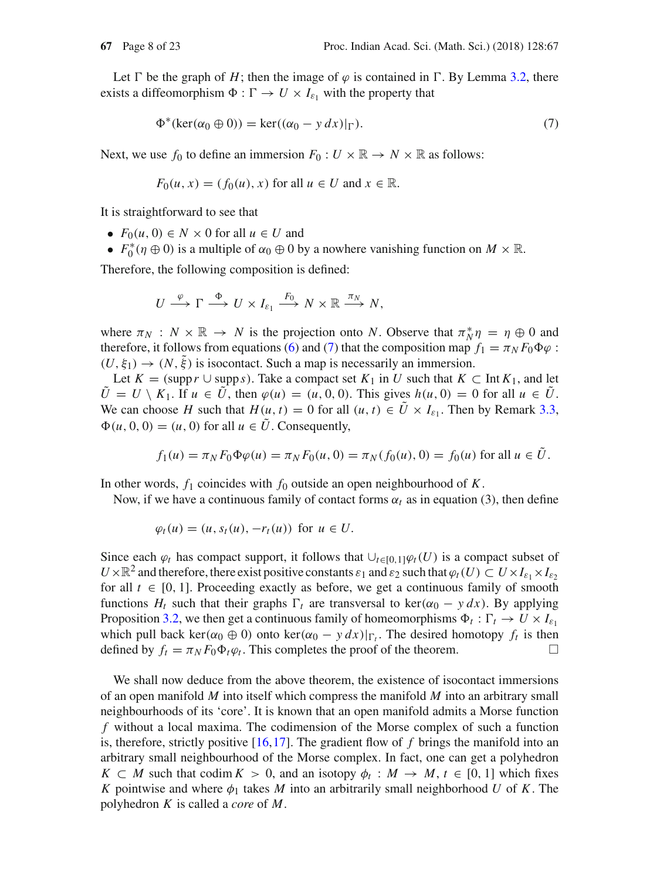Let  $\Gamma$  be the graph of *H*; then the image of  $\varphi$  is contained in  $\Gamma$ . By Lemma [3.2,](#page-4-2) there exists a diffeomorphism  $\Phi : \Gamma \to U \times I_{\varepsilon_1}$  with the property that

<span id="page-7-0"></span>
$$
\Phi^*(\ker(\alpha_0 \oplus 0)) = \ker((\alpha_0 - y \, dx)|_{\Gamma}).\tag{7}
$$

Next, we use  $f_0$  to define an immersion  $F_0: U \times \mathbb{R} \to N \times \mathbb{R}$  as follows:

$$
F_0(u, x) = (f_0(u), x) \text{ for all } u \in U \text{ and } x \in \mathbb{R}.
$$

It is straightforward to see that

- $F_0(u, 0) \in N \times 0$  for all  $u \in U$  and
- $F_0^*(\eta \oplus 0)$  is a multiple of  $\alpha_0 \oplus 0$  by a nowhere vanishing function on  $M \times \mathbb{R}$ .

Therefore, the following composition is defined:

$$
U \stackrel{\varphi}{\longrightarrow} \Gamma \stackrel{\Phi}{\longrightarrow} U \times I_{\varepsilon_1} \stackrel{F_0}{\longrightarrow} N \times \mathbb{R} \stackrel{\pi_N}{\longrightarrow} N,
$$

where  $\pi_N$ :  $N \times \mathbb{R} \to N$  is the projection onto *N*. Observe that  $\pi_N^* \eta = \eta \oplus 0$  and therefore, it follows from equations [\(6\)](#page-6-0) and [\(7\)](#page-7-0) that the composition map  $f_1 = \pi N F_0 \Phi \varphi$ :  $(U, \xi_1) \rightarrow (N, \tilde{\xi})$  is isocontact. Such a map is necessarily an immersion.

Let *K* = (supp*r* ∪ supp*s*). Take a compact set  $K_1$  in *U* such that  $K ⊂ \text{Int } K_1$ , and let  $\hat{U} = U \setminus K_1$ . If  $u \in \hat{U}$ , then  $\varphi(u) = (u, 0, 0)$ . This gives  $h(u, 0) = 0$  for all  $u \in \hat{U}$ . We can choose *H* such that  $H(u, t) = 0$  for all  $(u, t) \in \tilde{U} \times I_{\varepsilon_1}$ . Then by Remark [3.3,](#page-5-1)  $\Phi(u, 0, 0) = (u, 0)$  for all  $u \in U$ . Consequently,

$$
f_1(u) = \pi_N F_0 \Phi \varphi(u) = \pi_N F_0(u, 0) = \pi_N (f_0(u), 0) = f_0(u) \text{ for all } u \in U.
$$

In other words,  $f_1$  coincides with  $f_0$  outside an open neighbourhood of  $K$ .

Now, if we have a continuous family of contact forms  $\alpha_t$  as in equation (3), then define

$$
\varphi_t(u)=(u,s_t(u),-r_t(u)) \text{ for } u\in U.
$$

Since each  $\varphi_t$  has compact support, it follows that  $\bigcup_{t\in[0,1]}\varphi_t(U)$  is a compact subset of  $U \times \mathbb{R}^2$  and therefore, there exist positive constants  $\varepsilon_1$  and  $\varepsilon_2$  such that  $\varphi_t(U) \subset U \times I_{\varepsilon_1} \times I_{\varepsilon_2}$ for all  $t \in [0, 1]$ . Proceeding exactly as before, we get a continuous family of smooth functions  $H_t$  such that their graphs  $\Gamma_t$  are transversal to ker( $\alpha_0 - y dx$ ). By applying Proposition [3.2,](#page-4-2) we then get a continuous family of homeomorphisms  $\Phi_t : \Gamma_t \to U \times I_{\epsilon_1}$ which pull back ker( $\alpha_0 \oplus 0$ ) onto ker( $\alpha_0 - y dx$ )| $\Gamma_t$ . The desired homotopy  $f_t$  is then defined by  $f_t = \pi_N F_0 \Phi_t \varphi_t$ . This completes the proof of the theorem.

<span id="page-7-1"></span>We shall now deduce from the above theorem, the existence of isocontact immersions of an open manifold *M* into itself which compress the manifold *M* into an arbitrary small neighbourhoods of its 'core'. It is known that an open manifold admits a Morse function *f* without a local maxima. The codimension of the Morse complex of such a function is, therefore, strictly positive [\[16](#page-22-10)[,17](#page-22-11)]. The gradient flow of *f* brings the manifold into an arbitrary small neighbourhood of the Morse complex. In fact, one can get a polyhedron  $K \subset M$  such that codim  $K > 0$ , and an isotopy  $\phi_t : M \to M$ ,  $t \in [0, 1]$  which fixes *K* pointwise and where  $\phi_1$  takes *M* into an arbitrarily small neighborhood *U* of *K*. The polyhedron *K* is called a *core* of *M*.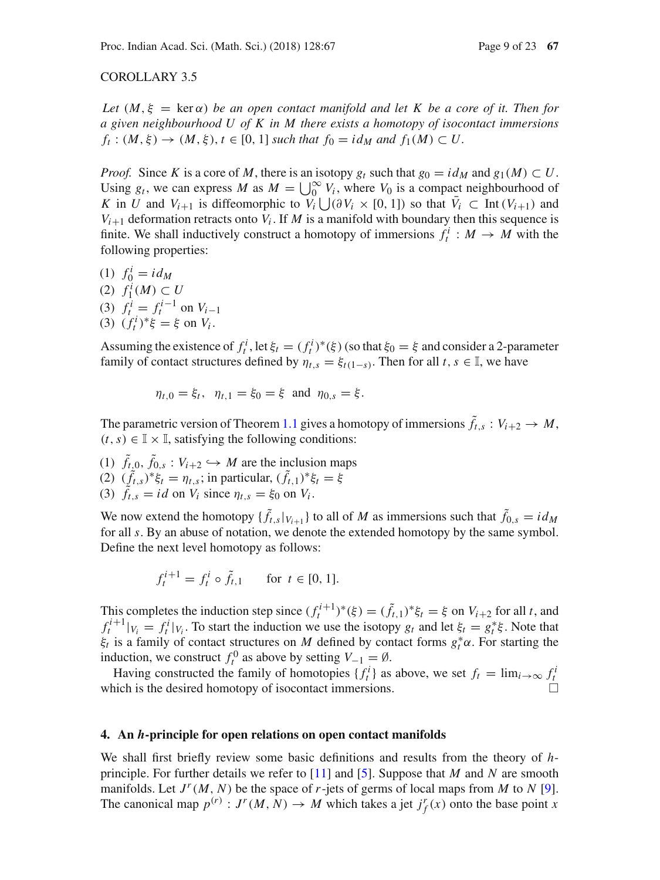## COROLLARY 3.5

*Let*  $(M, \xi = \ker \alpha)$  *be an open contact manifold and let* K *be a core of it. Then for a given neighbourhood U of K in M there exists a homotopy of isocontact immersions*  $f_t : (M, \xi) \to (M, \xi), t \in [0, 1]$  *such that*  $f_0 = id_M$  *and*  $f_1(M) \subset U$ .

*Proof.* Since *K* is a core of *M*, there is an isotopy  $g_t$  such that  $g_0 = id_M$  and  $g_1(M) \subset U$ . Using  $g_t$ , we can express *M* as  $M = \bigcup_{0}^{\infty} V_i$ , where  $V_0$  is a compact neighbourhood of *K* in *U* and  $V_{i+1}$  is diffeomorphic to  $V_i \cup (\partial V_i \times [0, 1])$  so that  $V_i \subset \text{Int}(V_{i+1})$  and  $V_{i+1}$  deformation retracts onto  $V_i$ . If *M* is a manifold with boundary then this sequence is finite. We shall inductively construct a homotopy of immersions  $f_t^i : M \to M$  with the following properties:

(1)  $f_0^i = id_M$ (2)  $f_1^i(M) \subset U$ (3)  $f_t^i = f_t^{i-1}$  on  $V_{i-1}$ (3)  $(f_t^i)^* \xi = \xi$  on  $V_i$ .

Assuming the existence of  $f_t^i$ , let  $\xi_t = (f_t^i)^*(\xi)$  (so that  $\xi_0 = \xi$  and consider a 2-parameter family of contact structures defined by  $\eta_{t,s} = \xi_{t(1-s)}$ . Then for all  $t, s \in \mathbb{I}$ , we have

$$
\eta_{t,0} = \xi_t, \quad \eta_{t,1} = \xi_0 = \xi \text{ and } \eta_{0,s} = \xi.
$$

The parametric version of Theorem [1.1](#page-0-0) gives a homotopy of immersions  $f_{t,s}: V_{i+2} \to M$ ,  $(t, s) \in \mathbb{I} \times \mathbb{I}$ , satisfying the following conditions:

(1)  $\bar{f}_{t,0}, \bar{f}_{0,s} : V_{i+2} \hookrightarrow M$  are the inclusion maps (2)  $(f_t, s)^* \xi_t = η_t, s$ ; in particular,  $(f_t, 1)^* \xi_t = ξ$ (3)  $f_{t,s} = id$  on  $V_i$  since  $\eta_{t,s} = \xi_0$  on  $V_i$ .

We now extend the homotopy  $\{\tilde{f}_{t,s}|_{V_{i+1}}\}$  to all of *M* as immersions such that  $\tilde{f}_{0,s} = id_M$ for all *s*. By an abuse of notation, we denote the extended homotopy by the same symbol. Define the next level homotopy as follows:

$$
f_t^{i+1} = f_t^i \circ \tilde{f}_{t,1} \quad \text{for } t \in [0, 1].
$$

This completes the induction step since  $(f_t^{i+1})^*(\xi) = (\tilde{f}_{t,1})^* \xi_t = \xi$  on  $V_{i+2}$  for all *t*, and  $f_t^{i+1}|_{V_i} = f_t^i|_{V_i}$ . To start the induction we use the isotopy  $g_t$  and let  $\xi_t = g_t^* \xi$ . Note that  $\xi_t$  is a family of contact structures on *M* defined by contact forms  $g_t^* \alpha$ . For starting the induction, we construct  $f_t^0$  as above by setting  $V_{-1} = \emptyset$ .

Having constructed the family of homotopies  $\{f_t^i\}$  as above, we set  $f_t = \lim_{i \to \infty} f_t^i$ which is the desired homotopy of isocontact immersions.

## <span id="page-8-0"></span>**4. An** *h***-principle for open relations on open contact manifolds**

We shall first briefly review some basic definitions and results from the theory of *h*principle. For further details we refer to [\[11\]](#page-22-2) and [\[5](#page-22-0)]. Suppose that *M* and *N* are smooth manifolds. Let  $J^r(M, N)$  be the space of *r*-jets of germs of local maps from *M* to *N* [\[9](#page-22-12)]. The canonical map  $p^{(r)}$  :  $J^r(M, N) \to M$  which takes a jet  $j_f^r(x)$  onto the base point *x*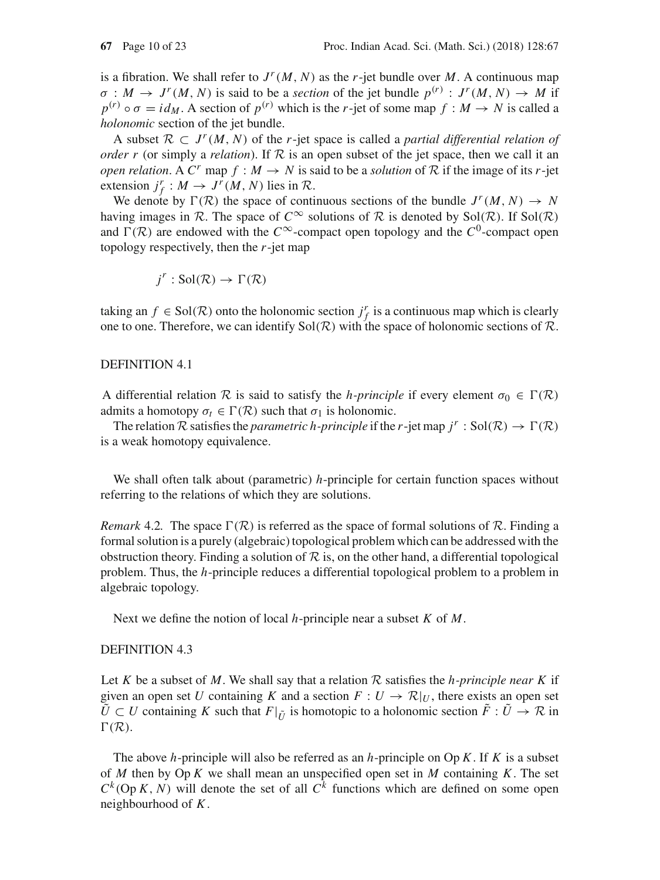is a fibration. We shall refer to  $J^r(M, N)$  as the *r*-jet bundle over M. A continuous map  $\sigma : M \to J^r(M, N)$  is said to be a *section* of the jet bundle  $p^{(r)} : J^r(M, N) \to M$  if  $p^{(r)} \circ \sigma = id_M$ . A section of  $p^{(r)}$  which is the *r*-jet of some map  $f : M \to N$  is called a *holonomic* section of the jet bundle.

A subset  $\mathcal{R} \subset J^r(M, N)$  of the *r*-jet space is called a *partial differential relation of order r* (or simply a *relation*). If  $R$  is an open subset of the jet space, then we call it an *open relation.* A *C*<sup>*r*</sup> map  $f : M \to N$  is said to be a *solution* of  $R$  if the image of its *r*-jet extension  $j_f^r : M \to J^r(M, N)$  lies in  $\mathcal{R}$ .

We denote by  $\Gamma(\mathcal{R})$  the space of continuous sections of the bundle  $J^r(M, N) \to N$ having images in  $\mathcal{R}$ . The space of  $C^{\infty}$  solutions of  $\mathcal{R}$  is denoted by Sol( $\mathcal{R}$ ). If Sol( $\mathcal{R}$ ) and  $\Gamma(R)$  are endowed with the  $C^{\infty}$ -compact open topology and the  $C^0$ -compact open topology respectively, then the *r*-jet map

$$
j^r:\mathrm{Sol}(\mathcal{R})\to\Gamma(\mathcal{R})
$$

taking an  $f \in Sol(\mathcal{R})$  onto the holonomic section  $j_f^r$  is a continuous map which is clearly one to one. Therefore, we can identify Sol(*R*) with the space of holonomic sections of *R*.

## DEFINITION 4.1

A differential relation  $\mathcal R$  is said to satisfy the *h-principle* if every element  $\sigma_0 \in \Gamma(\mathcal R)$ admits a homotopy  $\sigma_t \in \Gamma(\mathcal{R})$  such that  $\sigma_1$  is holonomic.

The relation *R* satisfies the *parametric h-principle* if the *r*-jet map  $j^r : Sol(\mathcal{R}) \to \Gamma(\mathcal{R})$ is a weak homotopy equivalence.

We shall often talk about (parametric) *h*-principle for certain function spaces without referring to the relations of which they are solutions.

*Remark* 4.2. The space  $\Gamma(\mathcal{R})$  is referred as the space of formal solutions of  $\mathcal{R}$ . Finding a formal solution is a purely (algebraic) topological problem which can be addressed with the obstruction theory. Finding a solution of *R* is, on the other hand, a differential topological problem. Thus, the *h*-principle reduces a differential topological problem to a problem in algebraic topology.

Next we define the notion of local *h*-principle near a subset *K* of *M*.

### DEFINITION 4.3

Let *K* be a subset of *M*. We shall say that a relation *R* satisfies the *h-principle near K* if given an open set *U* containing *K* and a section  $F: U \to \mathcal{R}|_U$ , there exists an open set *U* ⊂ *U* containing *K* such that  $F|_{\tilde{U}}$  is homotopic to a holonomic section  $F: U \to \mathcal{R}$  in  $\Gamma(\mathcal{R})$ .

The above *h*-principle will also be referred as an *h*-principle on Op *K*. If *K* is a subset of *M* then by Op *K* we shall mean an unspecified open set in *M* containing *K*. The set  $C^k$  (Op *K*, *N*) will denote the set of all  $C^k$  functions which are defined on some open neighbourhood of *K*.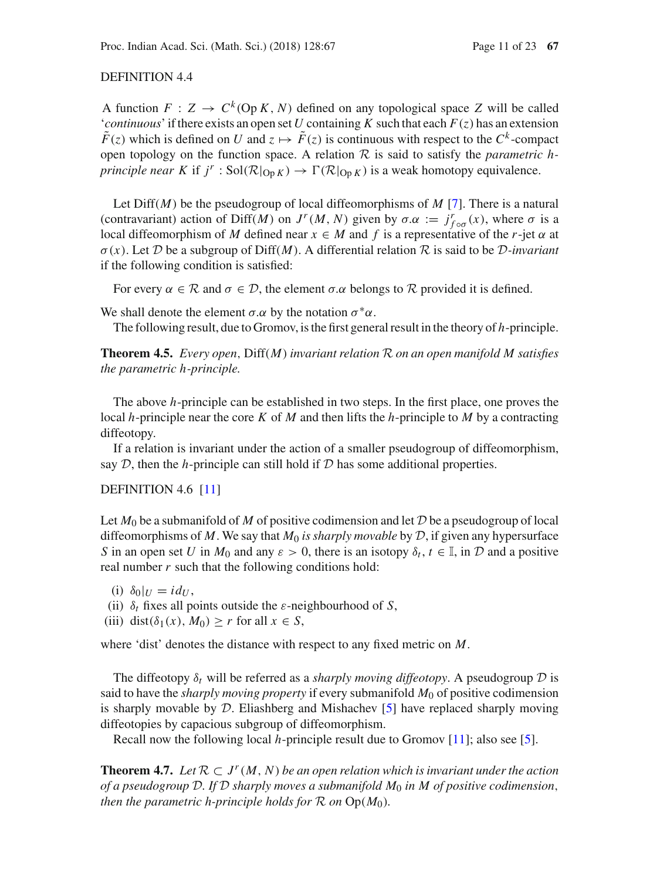## DEFINITION 4.4

A function  $F: Z \to C^k(\text{Op } K, N)$  defined on any topological space *Z* will be called '*continuous*' if there exists an open set U containing K such that each  $F(z)$  has an extension  $\tilde{F}(z)$  which is defined on *U* and  $z \mapsto \tilde{F}(z)$  is continuous with respect to the  $C^k$ -compact open topology on the function space. A relation *R* is said to satisfy the *parametric hprinciple near* K if  $j^r$  : Sol $(\mathcal{R}|_{\text{Op }K}) \to \Gamma(\mathcal{R}|_{\text{Op }K})$  is a weak homotopy equivalence.

Let Diff(*M*) be the pseudogroup of local diffeomorphisms of *M* [\[7](#page-22-13)]. There is a natural (contravariant) action of Diff(*M*) on  $J^r(M, N)$  given by  $\sigma \alpha := j^r_{f \circ \sigma}(x)$ , where  $\sigma$  is a level difference of *M* defined a set of *M* defined a set of *d* and *f* is a set of *d* and *f* is a set of *d* and *f* is a local diffeomorphism of *M* defined near  $x \in M$  and f is a representative of the r-jet  $\alpha$  at σ (*x*). Let *D* be a subgroup of Diff(*M*). A differential relation *R* is said to be *D-invariant* if the following condition is satisfied:

For every  $\alpha \in \mathcal{R}$  and  $\sigma \in \mathcal{D}$ , the element  $\sigma.\alpha$  belongs to  $\mathcal{R}$  provided it is defined.

We shall denote the element  $\sigma.\alpha$  by the notation  $\sigma^*\alpha$ .

The following result, due to Gromov, is the first general result in the theory of *h*-principle.

**Theorem 4.5.** *Every open*, Diff(*M*) *invariant relation R on an open manifold M satisfies the parametric h-principle.*

The above *h*-principle can be established in two steps. In the first place, one proves the local *h*-principle near the core *K* of *M* and then lifts the *h*-principle to *M* by a contracting diffeotopy.

If a relation is invariant under the action of a smaller pseudogroup of diffeomorphism, say  $D$ , then the *h*-principle can still hold if  $D$  has some additional properties.

## DEFINITION 4.6 [\[11](#page-22-2)]

Let  $M_0$  be a submanifold of  $M$  of positive codimension and let  $D$  be a pseudogroup of local diffeomorphisms of *M*. We say that  $M_0$  *is sharply movable* by  $D$ , if given any hypersurface *S* in an open set *U* in  $M_0$  and any  $\varepsilon > 0$ , there is an isotopy  $\delta_t$ ,  $t \in \mathbb{I}$ , in  $\mathcal{D}$  and a positive real number  $r$  such that the following conditions hold:

- (i)  $\delta_0|_{U} = id_{U}$ ,
- (ii)  $\delta_t$  fixes all points outside the *ε*-neighbourhood of *S*,
- (iii) dist( $\delta_1(x)$ ,  $M_0$ ) > *r* for all  $x \in S$ ,

where 'dist' denotes the distance with respect to any fixed metric on *M*.

The diffeotopy  $\delta_t$  will be referred as a *sharply moving diffeotopy*. A pseudogroup D is said to have the *sharply moving property* if every submanifold  $M_0$  of positive codimension is sharply movable by *D*. Eliashberg and Mishachev [\[5](#page-22-0)] have replaced sharply moving diffeotopies by capacious subgroup of diffeomorphism.

<span id="page-10-0"></span>Recall now the following local *h*-principle result due to Gromov [\[11\]](#page-22-2); also see [\[5](#page-22-0)].

**Theorem 4.7.** Let  $\mathcal{R} \subset J^r(M, N)$  be an open relation which is invariant under the action *of a pseudogroup D. If D sharply moves a submanifold M*<sup>0</sup> *in M of positive codimension*, *then the parametric h-principle holds for*  $R$  *on*  $Op(M_0)$ *.*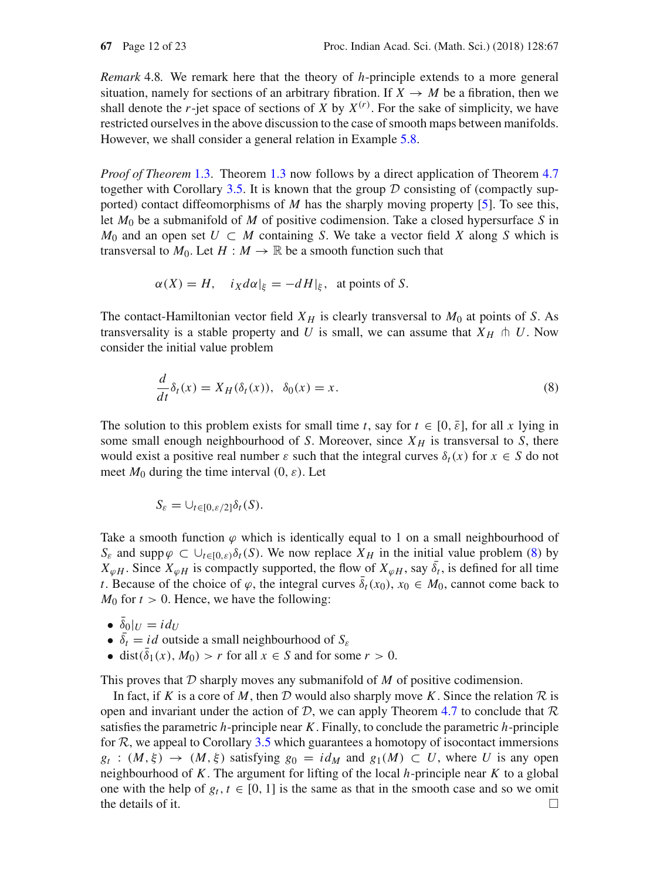*Remark* 4.8*.* We remark here that the theory of *h*-principle extends to a more general situation, namely for sections of an arbitrary fibration. If  $X \to M$  be a fibration, then we shall denote the  $r$ -jet space of sections of  $X$  by  $X^{(r)}$ . For the sake of simplicity, we have restricted ourselves in the above discussion to the case of smooth maps between manifolds. However, we shall consider a general relation in Example [5.8.](#page-16-0)

*Proof of Theorem* [1.3.](#page-1-1) Theorem [1.3](#page-1-1) now follows by a direct application of Theorem [4.7](#page-10-0) together with Corollary [3.5.](#page-7-1) It is known that the group  $D$  consisting of (compactly supported) contact diffeomorphisms of *M* has the sharply moving property [\[5\]](#page-22-0). To see this, let *M*<sup>0</sup> be a submanifold of *M* of positive codimension. Take a closed hypersurface *S* in *M*<sup>0</sup> and an open set *U* ⊂ *M* containing *S*. We take a vector field *X* along *S* which is transversal to  $M_0$ . Let  $H : M \to \mathbb{R}$  be a smooth function such that

$$
\alpha(X) = H
$$
,  $i_X d\alpha|_{\xi} = -dH|_{\xi}$ , at points of S.

The contact-Hamiltonian vector field  $X_H$  is clearly transversal to  $M_0$  at points of *S*. As transversality is a stable property and *U* is small, we can assume that  $X_H$   $\pitchfork U$ . Now consider the initial value problem

<span id="page-11-0"></span>
$$
\frac{d}{dt}\delta_t(x) = X_H(\delta_t(x)), \ \ \delta_0(x) = x. \tag{8}
$$

The solution to this problem exists for small time *t*, say for  $t \in [0, \bar{\varepsilon}]$ , for all *x* lying in some small enough neighbourhood of *S*. Moreover, since  $X_H$  is transversal to *S*, there would exist a positive real number  $\varepsilon$  such that the integral curves  $\delta_t(x)$  for  $x \in S$  do not meet  $M_0$  during the time interval  $(0, \varepsilon)$ . Let

$$
S_{\varepsilon}=\cup_{t\in[0,\varepsilon/2]}\delta_t(S).
$$

Take a smooth function  $\varphi$  which is identically equal to 1 on a small neighbourhood of *S*<sub>ε</sub> and supp $\varphi \subset \bigcup_{t \in [0,\varepsilon)} \delta_t(S)$ . We now replace  $X_H$  in the initial value problem [\(8\)](#page-11-0) by  $X_{\varphi H}$ . Since  $X_{\varphi H}$  is compactly supported, the flow of  $X_{\varphi H}$ , say  $\delta_t$ , is defined for all time *t*. Because of the choice of  $\varphi$ , the integral curves  $\delta_t(x_0)$ ,  $x_0 \in M_0$ , cannot come back to  $M_0$  for  $t > 0$ . Hence, we have the following:

- $\bullet$   $\delta_0|_U = id_U$
- $\delta_t = id$  outside a small neighbourhood of  $S_{\varepsilon}$
- dist( $\delta_1(x)$ ,  $M_0$ ) > *r* for all  $x \in S$  and for some  $r > 0$ .

This proves that *D* sharply moves any submanifold of *M* of positive codimension.

In fact, if *K* is a core of *M*, then *D* would also sharply move *K*. Since the relation  $R$  is open and invariant under the action of  $D$ , we can apply Theorem [4.7](#page-10-0) to conclude that  $R$ satisfies the parametric *h*-principle near *K*. Finally, to conclude the parametric *h*-principle for  $R$ , we appeal to Corollary [3.5](#page-7-1) which guarantees a homotopy of isocontact immersions  $g_t$  :  $(M, \xi) \rightarrow (M, \xi)$  satisfying  $g_0 = id_M$  and  $g_1(M) \subset U$ , where *U* is any open neighbourhood of *K*. The argument for lifting of the local *h*-principle near *K* to a global one with the help of  $g_t$ ,  $t \in [0, 1]$  is the same as that in the smooth case and so we omit the details of it. the details of it.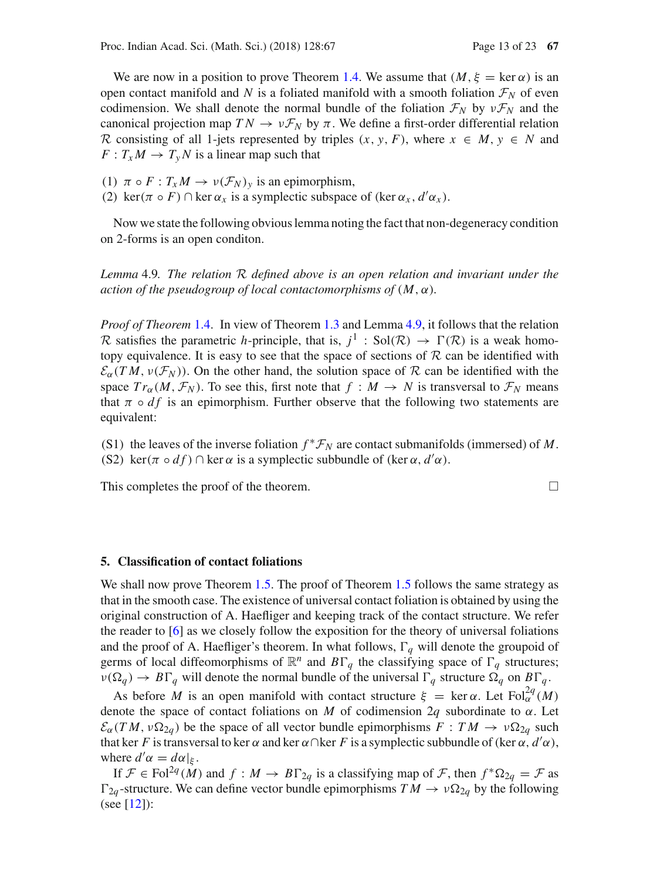We are now in a position to prove Theorem [1.4.](#page-1-0) We assume that  $(M, \xi = \ker \alpha)$  is an open contact manifold and *N* is a foliated manifold with a smooth foliation  $\mathcal{F}_N$  of even codimension. We shall denote the normal bundle of the foliation  $\mathcal{F}_N$  by  $v\mathcal{F}_N$  and the canonical projection map  $TN \to \nu \mathcal{F}_N$  by  $\pi$ . We define a first-order differential relation *R* consisting of all 1-jets represented by triples  $(x, y, F)$ , where  $x \in M$ ,  $y \in N$  and  $F: T_xM \to T_yN$  is a linear map such that

- (1)  $\pi \circ F : T_x M \to \nu(\mathcal{F}_N)_y$  is an epimorphism,
- (2) ker( $\pi \circ F$ )  $\cap$  ker  $\alpha_x$  is a symplectic subspace of (ker  $\alpha_x$ ,  $d' \alpha_x$ ).

<span id="page-12-1"></span>Now we state the following obvious lemma noting the fact that non-degeneracy condition on 2-forms is an open conditon.

*Lemma* 4.9*. The relation R defined above is an open relation and invariant under the action of the pseudogroup of local contactomorphisms of* (*M*, α)*.*

*Proof of Theorem* [1.4.](#page-1-0) In view of Theorem [1.3](#page-1-1) and Lemma [4.9,](#page-12-1) it follows that the relation *R* satisfies the parametric *h*-principle, that is,  $j^1$  : Sol(*R*)  $\rightarrow \Gamma(R)$  is a weak homotopy equivalence. It is easy to see that the space of sections of  $R$  can be identified with  $\mathcal{E}_{\alpha}(TM, \nu(\mathcal{F}_N))$ . On the other hand, the solution space of *R* can be identified with the space  $Tr_{\alpha}(M, \mathcal{F}_N)$ . To see this, first note that  $f : M \to N$  is transversal to  $\mathcal{F}_N$  means that  $\pi \circ df$  is an epimorphism. Further observe that the following two statements are equivalent:

(S1) the leaves of the inverse foliation  $f^* \mathcal{F}_N$  are contact submanifolds (immersed) of *M*. (S2) ker( $\pi \circ df$ )  $\cap$  ker  $\alpha$  is a symplectic subbundle of (ker  $\alpha$ ,  $d' \alpha$ ).

This completes the proof of the theorem.

$$
\Box
$$

#### <span id="page-12-0"></span>**5. Classification of contact foliations**

We shall now prove Theorem [1.5.](#page-2-1) The proof of Theorem [1.5](#page-2-1) follows the same strategy as that in the smooth case. The existence of universal contact foliation is obtained by using the original construction of A. Haefliger and keeping track of the contact structure. We refer the reader to [\[6\]](#page-22-14) as we closely follow the exposition for the theory of universal foliations and the proof of A. Haefliger's theorem. In what follows,  $\Gamma_q$  will denote the groupoid of germs of local diffeomorphisms of  $\mathbb{R}^n$  and  $B\Gamma_q$  the classifying space of  $\Gamma_q$  structures;  $\nu(\Omega_q) \to B\Gamma_q$  will denote the normal bundle of the universal  $\Gamma_q$  structure  $\Omega_q$  on  $B\Gamma_q$ .

As before *M* is an open manifold with contact structure  $\xi = \ker \alpha$ . Let  $\text{Fol}_{\alpha}^{2q}(M)$ denote the space of contact foliations on *M* of codimension 2*q* subordinate to  $\alpha$ . Let  $\mathcal{E}_{\alpha}(TM, \nu\Omega_{2q})$  be the space of all vector bundle epimorphisms  $F: TM \to \nu\Omega_{2q}$  such that ker *F* is transversal to ker  $\alpha$  and ker  $\alpha \cap$ ker *F* is a symplectic subbundle of (ker  $\alpha$ ,  $d' \alpha$ ), where  $d' \alpha = d \alpha |_{\xi}$ .

<span id="page-12-2"></span>If  $\mathcal{F} \in \text{Fol}^{2q}(M)$  and  $f : M \to B\Gamma_{2q}$  is a classifying map of  $\mathcal{F}$ , then  $f^*\Omega_{2q} = \mathcal{F}$  as  $\Gamma_{2q}$ -structure. We can define vector bundle epimorphisms  $TM \to \nu \Omega_{2q}$  by the following (see [\[12](#page-22-4)]):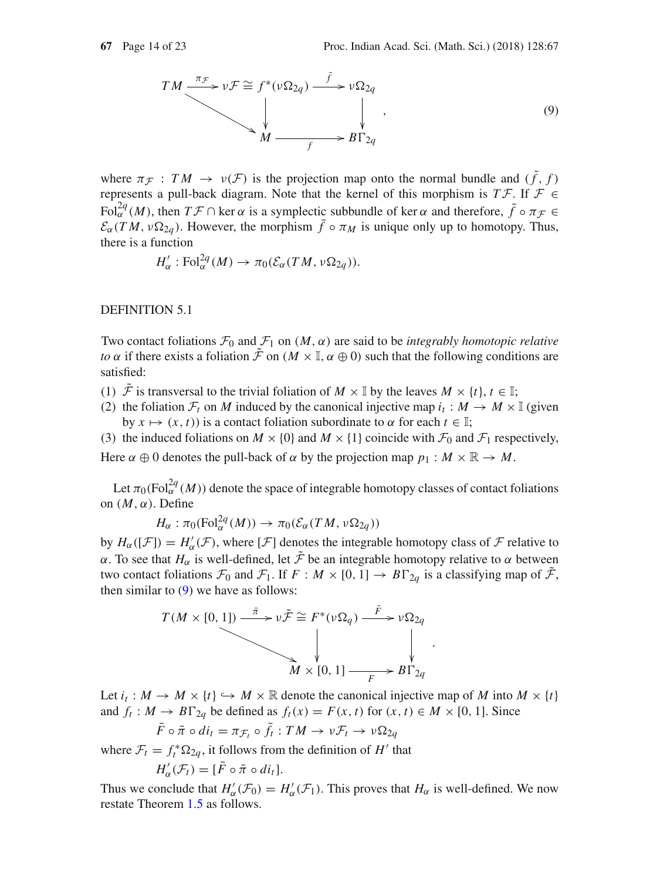

where  $\pi_F : TM \to \nu(F)$  is the projection map onto the normal bundle and  $(\bar{f}, f)$ represents a pull-back diagram. Note that the kernel of this morphism is  $T\mathcal{F}$ . If  $\mathcal{F} \in$ Fol<sup>2*q*</sup> (*M*), then  $T\mathcal{F} \cap \ker \alpha$  is a symplectic subbundle of ker  $\alpha$  and therefore,  $\bar{f} \circ \pi_{\mathcal{F}} \in$  $\mathcal{E}_{\alpha}(TM, v\Omega_{2a})$ . However, the morphism  $\bar{f} \circ \pi_M$  is unique only up to homotopy. Thus, there is a function

$$
H'_{\alpha} : \mathrm{Fol}^{2q}_{\alpha}(M) \to \pi_0(\mathcal{E}_{\alpha}(TM, \nu \Omega_{2q})).
$$

DEFINITION 5.1

Two contact foliations  $\mathcal{F}_0$  and  $\mathcal{F}_1$  on  $(M, \alpha)$  are said to be *integrably homotopic relative to*  $\alpha$  if there exists a foliation  $\tilde{\mathcal{F}}$  on ( $M \times \mathbb{I}$ ,  $\alpha \oplus 0$ ) such that the following conditions are satisfied:

- (1)  $\mathcal{F}$  is transversal to the trivial foliation of  $M \times \mathbb{I}$  by the leaves  $M \times \{t\}, t \in \mathbb{I}$ ;
- (2) the foliation  $\mathcal{F}_t$  on *M* induced by the canonical injective map  $i_t : M \to M \times \mathbb{I}$  (given by  $x \mapsto (x, t)$  is a contact foliation subordinate to  $\alpha$  for each  $t \in \mathbb{I}$ ;
- (3) the induced foliations on  $M \times \{0\}$  and  $M \times \{1\}$  coincide with  $\mathcal{F}_0$  and  $\mathcal{F}_1$  respectively,

Here  $\alpha \oplus 0$  denotes the pull-back of  $\alpha$  by the projection map  $p_1 : M \times \mathbb{R} \to M$ .

Let  $\pi_0(\mathrm{Fol}_\alpha^{2q}(M))$  denote the space of integrable homotopy classes of contact foliations on  $(M, \alpha)$ . Define

 $H_{\alpha} : \pi_0(\mathrm{Fol}_{\alpha}^{2q}(M)) \to \pi_0(\mathcal{E}_{\alpha}(TM, \nu \Omega_{2q}))$ 

by  $H_\alpha([F]) = H'_\alpha(F)$ , where  $[F]$  denotes the integrable homotopy class of  $F$  relative to α. To see that  $H_\alpha$  is well-defined, let  $\tilde{\mathcal{F}}$  be an integrable homotopy relative to α between two contact foliations  $\mathcal{F}_0$  and  $\mathcal{F}_1$ . If  $F : M \times [0, 1] \rightarrow B\Gamma_{2q}$  is a classifying map of  $\tilde{\mathcal{F}}$ , then similar to  $(9)$  we have as follows:

$$
T(M \times [0, 1]) \xrightarrow{\bar{\pi}} \nu \tilde{\mathcal{F}} \cong F^*(\nu \Omega_q) \xrightarrow{\bar{F}} \nu \Omega_{2q}
$$
\n
$$
\downarrow \qquad \qquad \downarrow \qquad \qquad \downarrow \qquad \qquad \downarrow \qquad \qquad \downarrow
$$
\n
$$
M \times [0, 1] \xrightarrow{\qquad F} B\Gamma_{2q}
$$

Let  $i_t : M \to M \times \{t\} \hookrightarrow M \times \mathbb{R}$  denote the canonical injective map of M into  $M \times \{t\}$ and  $f_t: M \to B\Gamma_{2q}$  be defined as  $f_t(x) = F(x, t)$  for  $(x, t) \in M \times [0, 1]$ . Since

$$
\bar{F} \circ \bar{\pi} \circ di_t = \pi_{\mathcal{F}_t} \circ \bar{f}_t : TM \to \nu \mathcal{F}_t \to \nu \Omega_{2q}
$$

where  $\mathcal{F}_t = f_t^* \Omega_{2q}$ , it follows from the definition of *H'* that

<span id="page-13-0"></span>
$$
H'_{\alpha}(\mathcal{F}_t) = [\bar{F} \circ \bar{\pi} \circ di_t].
$$

Thus we conclude that  $H'_\alpha(\mathcal{F}_0) = H'_\alpha(\mathcal{F}_1)$ . This proves that  $H_\alpha$  is well-defined. We now restate Theorem [1.5](#page-2-1) as follows.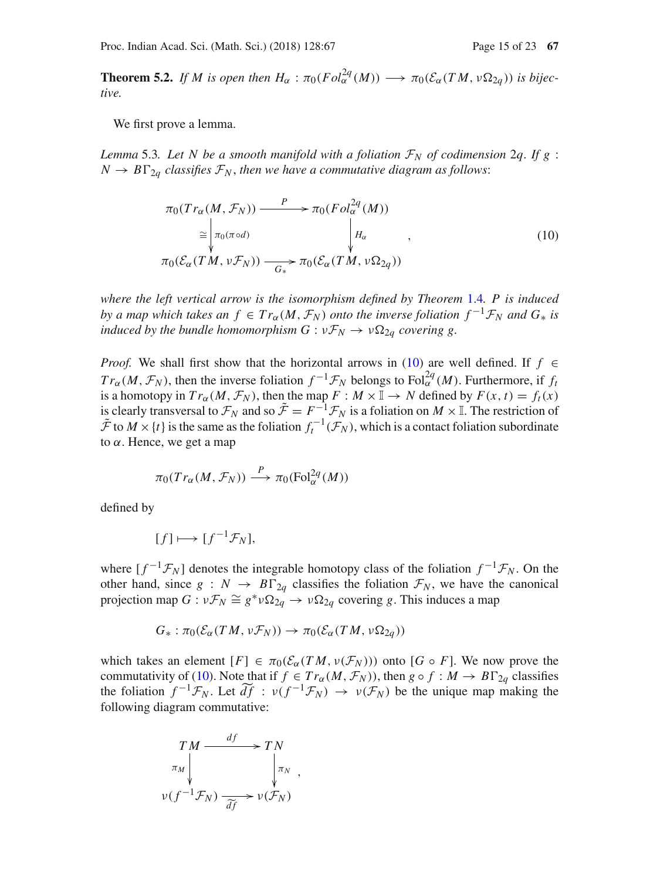**Theorem 5.2.** *If M* is open then  $H_\alpha$  :  $\pi_0(Fol_\alpha^{2q}(M)) \longrightarrow \pi_0(\mathcal{E}_\alpha(TM, \nu \Omega_{2q}))$  is bijec*tive.*

We first prove a lemma.

*Lemma* 5.3*. Let N be a smooth manifold with a foliation*  $\mathcal{F}_N$  *of codimension* 2*q. If g*:  $N \rightarrow B\Gamma_{2q}$  *classifies*  $\mathcal{F}_N$ *, then we have a commutative diagram as follows:* 

<span id="page-14-0"></span>
$$
\pi_0(Tr_\alpha(M, \mathcal{F}_N)) \xrightarrow{P} \pi_0(Fol_\alpha^{2q}(M))
$$
\n
$$
\cong \begin{vmatrix} \pi_0(\pi \circ d) & \mu_\alpha \\ \pi_0(\mathcal{E}_\alpha(TM, \nu \mathcal{F}_N)) & \xrightarrow{G_*} \pi_0(\mathcal{E}_\alpha(TM, \nu \Omega_{2q})) \end{vmatrix} H_\alpha \qquad (10)
$$

*where the left vertical arrow is the isomorphism defined by Theorem* [1.4](#page-1-0)*. P is induced by a map which takes an f*  $\in Tr_{\alpha}(M, \mathcal{F}_N)$  *onto the inverse foliation f*<sup>-1</sup> $\mathcal{F}_N$  *and*  $G_*$  *is induced by the bundle homomorphism*  $G : v \mathcal{F}_N \to v \Omega_{2q}$  *covering g.* 

*Proof.* We shall first show that the horizontal arrows in [\(10\)](#page-14-0) are well defined. If  $f \in$ *Tr*<sub>α</sub>(*M*, *F<sub>N</sub>*), then the inverse foliation  $f^{-1}F_N$  belongs to Fol<sub>α</sub><sup>2*q*</sup>(*M*). Furthermore, if *f<sub>t</sub>* is a homotopy in  $Tr_{\alpha}(M, \mathcal{F}_N)$ , then the map  $F : M \times \mathbb{I} \to N$  defined by  $F(x, t) = f_t(x)$ is clearly transversal to  $\mathcal{F}_N$  and so  $\tilde{\mathcal{F}} = F^{-1} \mathcal{F}_N$  is a foliation on  $M \times \mathbb{I}$ . The restriction of  $\tilde{\mathcal{F}}$  to  $M \times \{t\}$  is the same as the foliation  $f_t^{-1}(\mathcal{F}_N)$ , which is a contact foliation subordinate to  $\alpha$ . Hence, we get a map

$$
\pi_0(Tr_\alpha(M,\mathcal{F}_N)) \stackrel{P}{\longrightarrow} \pi_0(\mathrm{Fol}_\alpha^{2q}(M))
$$

defined by

$$
[f] \longmapsto [f^{-1} \mathcal{F}_N],
$$

where  $[f^{-1}\mathcal{F}_N]$  denotes the integrable homotopy class of the foliation  $f^{-1}\mathcal{F}_N$ . On the other hand, since  $g : N \to B\Gamma_{2q}$  classifies the foliation  $\mathcal{F}_N$ , we have the canonical projection map  $G: \nu \mathcal{F}_N \cong g^* \nu \Omega_{2a} \rightarrow \nu \Omega_{2a}$  covering *g*. This induces a map

$$
G_* : \pi_0(\mathcal{E}_{\alpha}(TM, \nu \mathcal{F}_N)) \to \pi_0(\mathcal{E}_{\alpha}(TM, \nu \Omega_{2q}))
$$

which takes an element  $[F] \in \pi_0(\mathcal{E}_{\alpha}(TM, \nu(\mathcal{F}_N)))$  onto  $[G \circ F]$ . We now prove the commutativity of [\(10\)](#page-14-0). Note that if  $f \in Tr_{\alpha}(M, \mathcal{F}_N)$ , then  $g \circ f : M \to B\Gamma_{2q}$  classifies the foliation  $f^{-1}\mathcal{F}_N$ . Let  $\widetilde{df}$  :  $v(f^{-1}\mathcal{F}_N) \to v(\mathcal{F}_N)$  be the unique map making the following diagram commutative:

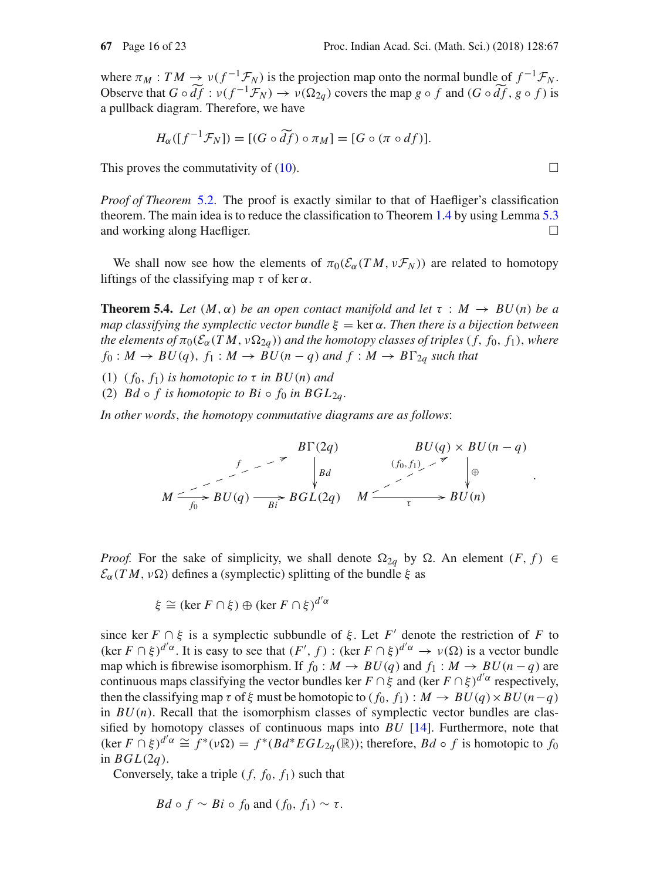.

where  $\pi_M : TM \to \nu(f^{-1}\mathcal{F}_N)$  is the projection map onto the normal bundle of  $f^{-1}\mathcal{F}_N$ . Observe that  $G \circ \widetilde{df} : v(f^{-1}\mathcal{F}_N) \to v(\Omega_{2a})$  covers the map  $g \circ f$  and  $(G \circ \widetilde{df}, g \circ f)$  is a pullback diagram. Therefore, we have

<span id="page-15-0"></span>
$$
H_{\alpha}([f^{-1}\mathcal{F}_N]) = [(G \circ \widetilde{df}) \circ \pi_M] = [G \circ (\pi \circ df)].
$$

This proves the commutativity of  $(10)$ .

*Proof of Theorem* [5.2.](#page-13-0) The proof is exactly similar to that of Haefliger's classification theorem. The main idea is to reduce the classification to Theorem [1.4](#page-1-0) by using Lemma [5.3](#page-14-0) and working along Haefliger.  $\Box$ 

We shall now see how the elements of  $\pi_0(\mathcal{E}_{\alpha}(TM, \nu \mathcal{F}_N))$  are related to homotopy liftings of the classifying map  $\tau$  of ker  $\alpha$ .

**Theorem 5.4.** Let  $(M, \alpha)$  be an open contact manifold and let  $\tau : M \rightarrow BU(n)$  be a *map classifying the symplectic vector bundle*  $\xi = \text{ker } \alpha$ . *Then there is a bijection between the elements of*  $\pi_0(\mathcal{E}_{\alpha}(TM, \nu \Omega_{2a}))$  *and the homotopy classes of triples* (*f*, *f*<sub>0</sub>, *f*<sub>1</sub>), *where*  $f_0: M \to BU(q), f_1: M \to BU(n-q)$  and  $f: M \to B\Gamma_{2q}$  such that

(1)  $(f_0, f_1)$  *is homotopic to*  $\tau$  *in BU*(*n*) *and* 

(2)  $Bd \circ f$  *is homotopic to*  $Bi \circ f_0$  *in*  $BGL_{2q}$ *.* 

*In other words*, *the homotopy commutative diagrams are as follows*:

*B*(2*q*) *Bd M f*0 *f BU*(*q*) *Bi BGL*(2*q*) *BU*(*q*) × *BU*(*n* − *q*) ⊕ *M* <sup>τ</sup> ( *f*0, *f*1) *BU*(*n*)

*Proof.* For the sake of simplicity, we shall denote  $\Omega_{2q}$  by  $\Omega$ . An element  $(F, f) \in$  $\mathcal{E}_{\alpha}(TM, \nu \Omega)$  defines a (symplectic) splitting of the bundle  $\xi$  as

 $\xi \cong (\ker F \cap \xi) \oplus (\ker F \cap \xi)^{d' \alpha}$ 

since ker *F*  $\cap$  ξ is a symplectic subbundle of ξ. Let *F'* denote the restriction of *F* to  $(\ker F \cap \xi)^{d'\alpha}$ . It is easy to see that  $(F', f)$ :  $(\ker F \cap \xi)^{d'\alpha} \to \nu(\Omega)$  is a vector bundle map which is fibrewise isomorphism. If  $f_0 : M \to BU(q)$  and  $f_1 : M \to BU(n-q)$  are continuous maps classifying the vector bundles ker  $F \cap \xi$  and (ker  $F \cap \xi$ )<sup>d' $\alpha$ </sup> respectively, then the classifying map  $\tau$  of  $\xi$  must be homotopic to  $(f_0, f_1)$ :  $M \to BU(q) \times BU(n-q)$ in  $BU(n)$ . Recall that the isomorphism classes of symplectic vector bundles are classified by homotopy classes of continuous maps into *BU* [\[14](#page-22-15)]. Furthermore, note that  $(\ker F \cap \xi)^{d' \alpha} \cong f^*(\nu \Omega) = f^*(Bd^*EGL_{2q}(\mathbb{R}))$ ; therefore, *Bd* ◦ *f* is homotopic to *f*<sub>0</sub> in *BGL*(2*q*).

Conversely, take a triple  $(f, f_0, f_1)$  such that

$$
Bd \circ f \sim Bi \circ f_0
$$
 and  $(f_0, f_1) \sim \tau$ .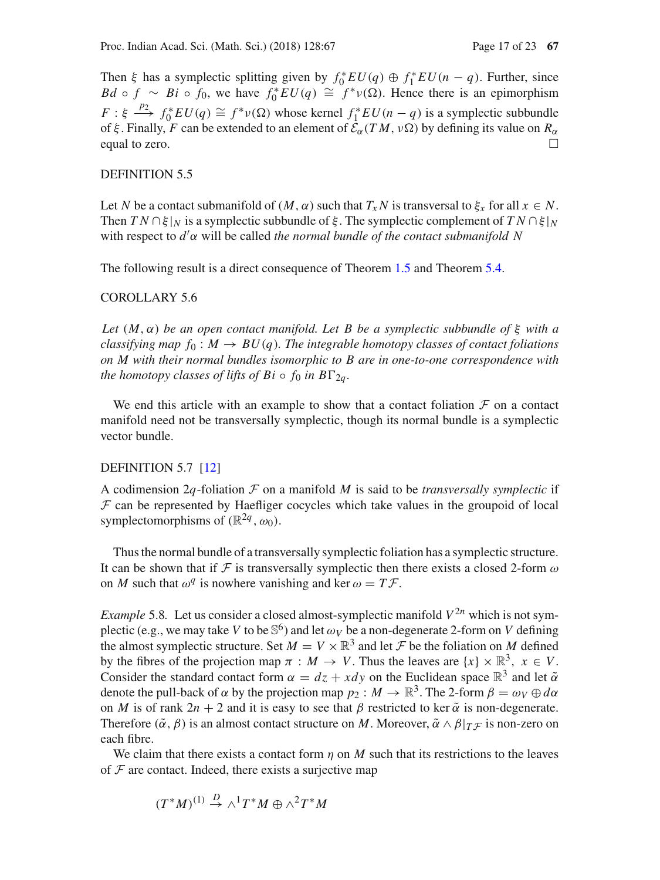Then  $\xi$  has a symplectic splitting given by  $f_0^*EU(q) \oplus f_1^*EU(n-q)$ . Further, since *Bd* ◦ *f* ∼ *Bi* ◦ *f*<sub>0</sub>, we have  $f_0^*EU(q) \cong f^*v(\Omega)$ . Hence there is an epimorphism  $F: \xi \stackrel{p_2}{\longrightarrow} f_0^* EU(q) \cong f^*v(\Omega)$  whose kernel  $f_1^*EU(n-q)$  is a symplectic subbundle of  $\xi$ . Finally, *F* can be extended to an element of  $\mathcal{E}_{\alpha}(TM, \nu\Omega)$  by defining its value on  $R_{\alpha}$ equal to zero.

## DEFINITION 5.5

Let *N* be a contact submanifold of  $(M, \alpha)$  such that  $T_x N$  is transversal to  $\xi_x$  for all  $x \in N$ . Then  $TN \cap \xi|_N$  is a symplectic subbundle of  $\xi$ . The symplectic complement of  $TN \cap \xi|_N$ with respect to *d* α will be called *the normal bundle of the contact submanifold N*

The following result is a direct consequence of Theorem [1.5](#page-2-1) and Theorem [5.4.](#page-15-0)

## COROLLARY 5.6

*Let* (*M*, α) *be an open contact manifold. Let B be a symplectic subbundle of* ξ *with a classifying map*  $f_0 : M \to BU(q)$ . The integrable homotopy classes of contact foliations *on M with their normal bundles isomorphic to B are in one-to-one correspondence with the homotopy classes of lifts of Bi*  $\circ$  *f*<sub>0</sub> *in B* $\Gamma_{2q}$ *.* 

We end this article with an example to show that a contact foliation  $F$  on a contact manifold need not be transversally symplectic, though its normal bundle is a symplectic vector bundle.

## DEFINITION 5.7 [\[12](#page-22-4)]

A codimension 2q-foliation  $\mathcal F$  on a manifold  $M$  is said to be *transversally symplectic* if  $F$  can be represented by Haefliger cocycles which take values in the groupoid of local symplectomorphisms of  $(\mathbb{R}^{2q}, \omega_0)$ .

Thus the normal bundle of a transversally symplectic foliation has a symplectic structure. It can be shown that if  $\mathcal F$  is transversally symplectic then there exists a closed 2-form  $\omega$ on *M* such that  $\omega^q$  is nowhere vanishing and ker  $\omega = T \mathcal{F}$ .

<span id="page-16-0"></span>*Example* 5.8. Let us consider a closed almost-symplectic manifold  $V^{2n}$  which is not symplectic (e.g., we may take *V* to be  $\mathbb{S}^6$ ) and let  $\omega_V$  be a non-degenerate 2-form on *V* defining the almost symplectic structure. Set  $M = V \times \mathbb{R}^3$  and let  $\mathcal F$  be the foliation on *M* defined by the fibres of the projection map  $\pi : M \to V$ . Thus the leaves are  $\{x\} \times \mathbb{R}^3$ ,  $x \in V$ . Consider the standard contact form  $\alpha = dz + x dy$  on the Euclidean space  $\mathbb{R}^3$  and let  $\tilde{\alpha}$ denote the pull-back of  $\alpha$  by the projection map  $p_2 : M \to \mathbb{R}^3$ . The 2-form  $\beta = \omega_V \oplus d\alpha$ on *M* is of rank  $2n + 2$  and it is easy to see that  $\beta$  restricted to ker  $\tilde{\alpha}$  is non-degenerate. Therefore  $(\tilde{\alpha}, \beta)$  is an almost contact structure on *M*. Moreover,  $\tilde{\alpha} \wedge \beta |_{T \mathcal{F}}$  is non-zero on each fibre.

We claim that there exists a contact form  $\eta$  on *M* such that its restrictions to the leaves of  $F$  are contact. Indeed, there exists a surjective map

$$
(T^*M)^{(1)} \stackrel{D}{\to} \wedge^1 T^*M \oplus \wedge^2 T^*M
$$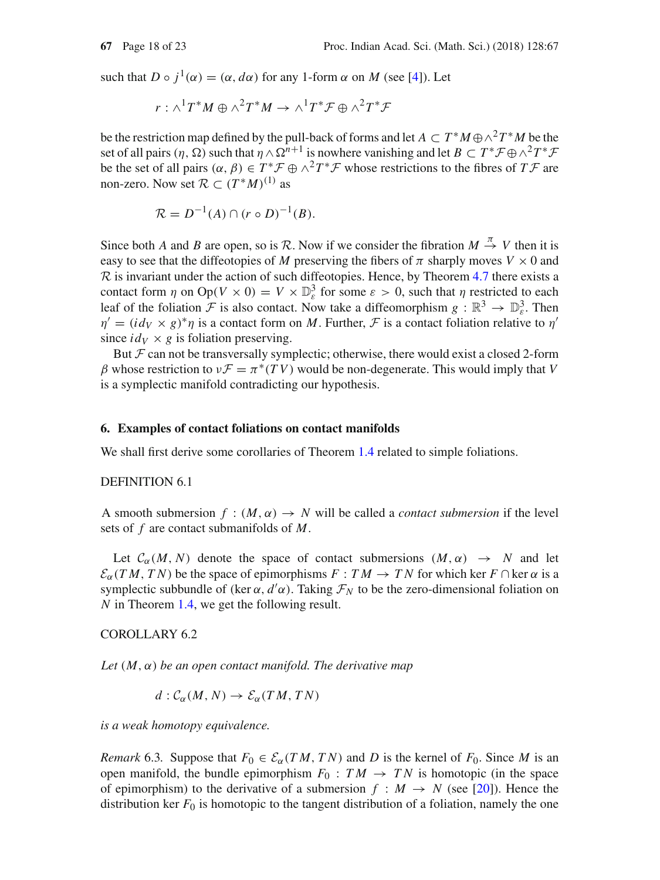such that  $D \circ i^1(\alpha) = (\alpha, d\alpha)$  for any 1-form  $\alpha$  on M (see [\[4\]](#page-22-16)). Let

$$
r: \wedge^1 T^*M \oplus \wedge^2 T^*M \to \wedge^1 T^* \mathcal{F} \oplus \wedge^2 T^* \mathcal{F}
$$

be the restriction map defined by the pull-back of forms and let  $A \subset T^*M \oplus \wedge^2 T^*M$  be the set of all pairs  $(\eta, \Omega)$  such that  $\eta \wedge \Omega^{n+1}$  is nowhere vanishing and let  $B \subset T^* \mathcal{F} \oplus \wedge^2 T^* \mathcal{F}$ be the set of all pairs  $(\alpha, \beta) \in T^* \mathcal{F} \oplus \wedge^2 T^* \mathcal{F}$  whose restrictions to the fibres of  $T \mathcal{F}$  are non-zero. Now set  $\mathcal{R} \subset (T^*M)^{(1)}$  as

$$
R = D^{-1}(A) \cap (r \circ D)^{-1}(B).
$$

Since both *A* and *B* are open, so is *R*. Now if we consider the fibration  $M \stackrel{\pi}{\rightarrow} V$  then it is easy to see that the diffeotopies of *M* preserving the fibers of  $\pi$  sharply moves  $V \times 0$  and  $R$  is invariant under the action of such diffeotopies. Hence, by Theorem [4.7](#page-10-0) there exists a contact form  $\eta$  on  $\text{Op}(V \times 0) = V \times \mathbb{D}_{\varepsilon}^3$  for some  $\varepsilon > 0$ , such that  $\eta$  restricted to each leaf of the foliation *F* is also contact. Now take a diffeomorphism  $g : \mathbb{R}^3 \to \mathbb{D}_{\varepsilon}^3$ . Then  $\eta' = (id_V \times g)^* \eta$  is a contact form on *M*. Further, *F* is a contact foliation relative to  $\eta'$ since  $i \, d_V \times g$  is foliation preserving.

But  $\mathcal F$  can not be transversally symplectic; otherwise, there would exist a closed 2-form β whose restriction to  $ν\mathcal{F} = π^*(TV)$  would be non-degenerate. This would imply that *V* is a symplectic manifold contradicting our hypothesis.

#### <span id="page-17-0"></span>**6. Examples of contact foliations on contact manifolds**

We shall first derive some corollaries of Theorem [1.4](#page-1-0) related to simple foliations.

## DEFINITION 6.1

A smooth submersion  $f : (M, \alpha) \to N$  will be called a *contact submersion* if the level sets of *f* are contact submanifolds of *M*.

Let  $C_\alpha(M, N)$  denote the space of contact submersions  $(M, \alpha) \rightarrow N$  and let  $\mathcal{E}_{\alpha}(TM, TN)$  be the space of epimorphisms  $F: TM \rightarrow TN$  for which ker  $F \cap \text{ker } \alpha$  is a symplectic subbundle of (ker  $\alpha$ ,  $d' \alpha$ ). Taking  $\mathcal{F}_N$  to be the zero-dimensional foliation on *N* in Theorem [1.4,](#page-1-0) we get the following result.

## COROLLARY 6.2

*Let* (*M*, α) *be an open contact manifold. The derivative map*

<span id="page-17-1"></span> $d: \mathcal{C}_{\alpha}(M, N) \to \mathcal{E}_{\alpha}(TM, TN)$ 

*is a weak homotopy equivalence.*

*Remark* 6.3. Suppose that  $F_0 \in \mathcal{E}_{\alpha}(TM, TN)$  and *D* is the kernel of  $F_0$ . Since *M* is an open manifold, the bundle epimorphism  $F_0$  :  $TM \rightarrow TN$  is homotopic (in the space of epimorphism) to the derivative of a submersion  $f : M \to N$  (see [\[20\]](#page-22-17)). Hence the distribution ker  $F_0$  is homotopic to the tangent distribution of a foliation, namely the one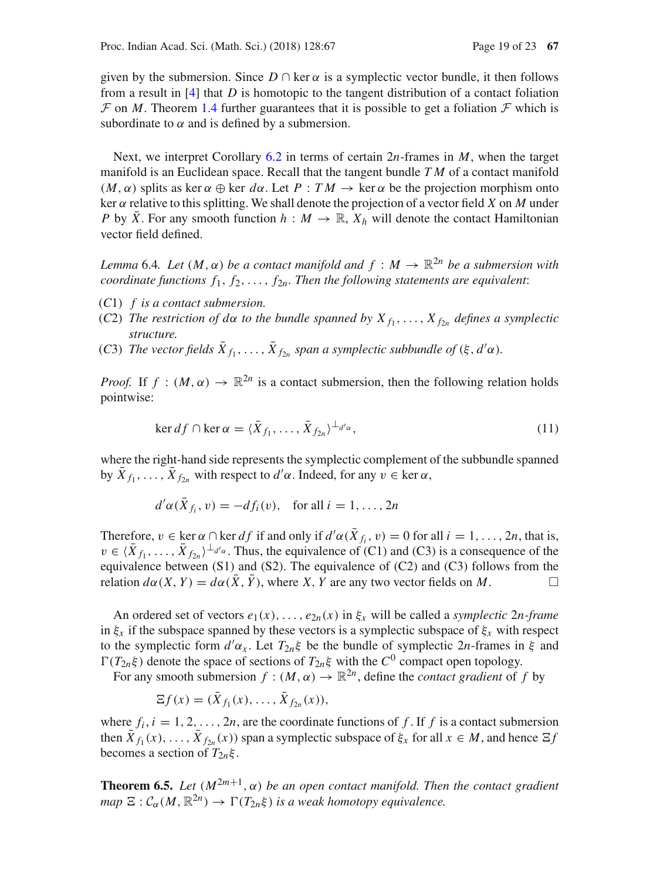given by the submersion. Since  $D \cap \text{ker } \alpha$  is a symplectic vector bundle, it then follows from a result in [\[4](#page-22-16)] that *D* is homotopic to the tangent distribution of a contact foliation  $F$  on *M*. Theorem [1.4](#page-1-0) further guarantees that it is possible to get a foliation  $F$  which is subordinate to  $\alpha$  and is defined by a submersion.

Next, we interpret Corollary [6.2](#page-17-1) in terms of certain 2*n*-frames in *M*, when the target manifold is an Euclidean space. Recall that the tangent bundle *T M* of a contact manifold  $(M, \alpha)$  splits as ker  $\alpha \oplus$  ker  $d\alpha$ . Let  $P: TM \rightarrow \text{ker }\alpha$  be the projection morphism onto ker α relative to this splitting. We shall denote the projection of a vector field *X* on *M* under *P* by  $\overline{X}$ . For any smooth function  $h : M \to \mathbb{R}$ ,  $X_h$  will denote the contact Hamiltonian vector field defined.

*Lemma* 6.4*. Let*  $(M, \alpha)$  *be a contact manifold and*  $f : M \to \mathbb{R}^{2n}$  *be a submersion with coordinate functions*  $f_1, f_2, \ldots, f_{2n}$ . Then the following statements are equivalent:

- (*C*1) *f is a contact submersion.*
- (*C*2) *The restriction of dα to the bundle spanned by*  $X_{f_1}, \ldots, X_{f_{2n}}$  *defines a symplectic structure.*
- (C3) *The vector fields*  $X_{f_1}, \ldots, X_{f_{2n}}$  *span a symplectic subbundle of* (ξ,  $d' \alpha$ ).

*Proof.* If  $f : (M, \alpha) \to \mathbb{R}^{2n}$  is a contact submersion, then the following relation holds pointwise:

$$
\ker df \cap \ker \alpha = \langle \bar{X}_{f_1}, \dots, \bar{X}_{f_{2n}} \rangle^{\perp_{d'\alpha}},\tag{11}
$$

where the right-hand side represents the symplectic complement of the subbundle spanned by  $X_{f_1}, \ldots, X_{f_{2n}}$  with respect to  $d' \alpha$ . Indeed, for any  $v \in \text{ker } \alpha$ ,

$$
d'\alpha(X_{f_i}, v) = -df_i(v), \text{ for all } i = 1, \dots, 2n
$$

Therefore,  $v \in \ker \alpha \cap \ker df$  if and only if  $d' \alpha(X_{f_i}, v) = 0$  for all  $i = 1, ..., 2n$ , that is,  $v \in \langle \bar{X}_{f_1}, \ldots, \bar{X}_{f_{2n}} \rangle^{\perp_{d/\alpha}}$ . Thus, the equivalence of (C1) and (C3) is a consequence of the equivalence between (S1) and (S2). The equivalence of (C2) and (C3) follows from the relation  $d\alpha(X, Y) = d\alpha(\bar{X}, \bar{Y})$ , where *X*, *Y* are any two vector fields on *M*.

An ordered set of vectors  $e_1(x), \ldots, e_{2n}(x)$  in  $\xi_x$  will be called a *symplectic* 2*n*-frame in  $\xi_x$  if the subspace spanned by these vectors is a symplectic subspace of  $\xi_x$  with respect to the symplectic form  $d' \alpha_x$ . Let  $T_{2n} \xi$  be the bundle of symplectic  $2n$ -frames in  $\xi$  and  $\Gamma(T_{2n} \xi)$  denote the space of sections of  $T_{2n} \xi$  with the  $C^0$  compact open topology.

For any smooth submersion  $f : (M, \alpha) \to \mathbb{R}^{2n}$ , define the *contact gradient* of *f* by

$$
\Xi f(x)=(X_{f_1}(x),\ldots,X_{f_{2n}}(x)),
$$

where  $f_i$ ,  $i = 1, 2, ..., 2n$ , are the coordinate functions of f. If f is a contact submersion then  $\bar{X}_{f_1}(x), \ldots, \bar{X}_{f_n}(x)$  span a symplectic subspace of  $\xi_x$  for all  $x \in M$ , and hence  $\Xi f$ becomes a section of  $T_{2n}\xi$ .

**Theorem 6.5.** *Let*  $(M^{2m+1}, \alpha)$  *be an open contact manifold. Then the contact gradient map*  $\Xi: C_{\alpha}(M, \mathbb{R}^{2n}) \to \Gamma(T_{2n}\xi)$  *is a weak homotopy equivalence.*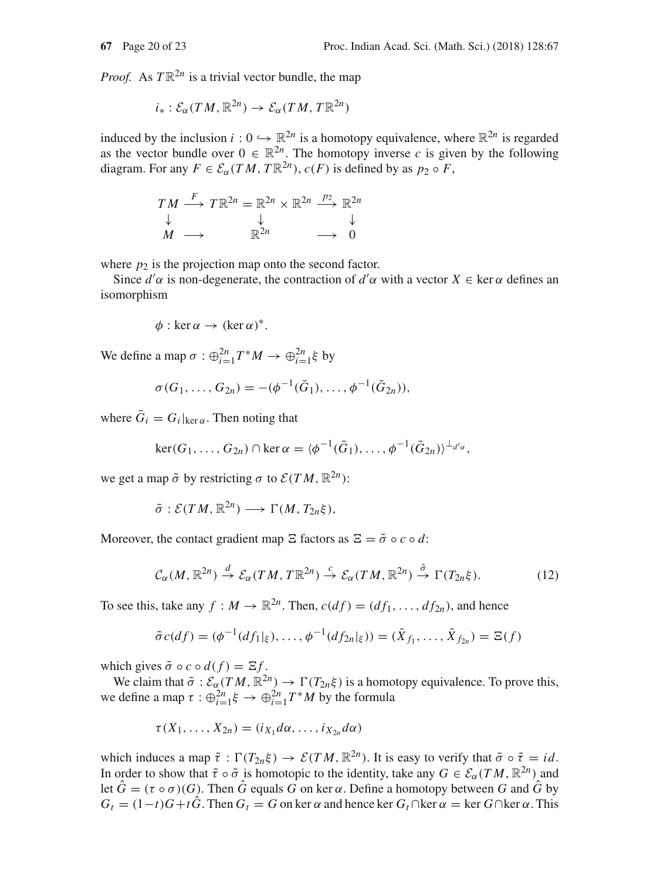*Proof.* As  $T \mathbb{R}^{2n}$  is a trivial vector bundle, the map

$$
i_* : \mathcal{E}_{\alpha}(TM, \mathbb{R}^{2n}) \to \mathcal{E}_{\alpha}(TM, T\mathbb{R}^{2n})
$$

induced by the inclusion  $i: 0 \hookrightarrow \mathbb{R}^{2n}$  is a homotopy equivalence, where  $\mathbb{R}^{2n}$  is regarded as the vector bundle over  $0 \in \mathbb{R}^{2n}$ . The homotopy inverse *c* is given by the following diagram. For any  $F \in \mathcal{E}_{\alpha}(TM, T\mathbb{R}^{2n})$ ,  $c(F)$  is defined by as  $p_2 \circ F$ ,

$$
TM \xrightarrow{F} T \mathbb{R}^{2n} = \mathbb{R}^{2n} \times \mathbb{R}^{2n} \xrightarrow{\mathcal{P}_2} \mathbb{R}^{2n}
$$
  
\n
$$
\downarrow \qquad \qquad \downarrow
$$
  
\n
$$
M \longrightarrow \mathbb{R}^{2n} \longrightarrow 0
$$

where  $p_2$  is the projection map onto the second factor.

Since  $d'$  a is non-degenerate, the contraction of  $d'$  a with a vector  $X \in \text{ker } \alpha$  defines an isomorphism

$$
\phi: \ker \alpha \to (\ker \alpha)^*.
$$

We define a map  $\sigma : \bigoplus_{i=1}^{2n} T^*M \to \bigoplus_{i=1}^{2n} \xi$  by

$$
\sigma(G_1,\ldots,G_{2n})=-(\phi^{-1}(\bar{G}_1),\ldots,\phi^{-1}(\bar{G}_{2n})),
$$

where  $\bar{G}_i = G_i|_{\text{ker }\alpha}$ . Then noting that

$$
\ker(G_1,\ldots,G_{2n})\cap\ker\alpha=\langle\phi^{-1}(\bar{G}_1),\ldots,\phi^{-1}(\bar{G}_{2n})\rangle^{\perp_{d'\alpha}},
$$

we get a map  $\tilde{\sigma}$  by restricting  $\sigma$  to  $\mathcal{E}(TM, \mathbb{R}^{2n})$ :

 $\tilde{\sigma}: \mathcal{E}(TM, \mathbb{R}^{2n}) \longrightarrow \Gamma(M, T_{2n}\xi),$ 

Moreover, the contact gradient map  $\Xi$  factors as  $\Xi = \tilde{\sigma} \circ c \circ d$ :

$$
\mathcal{C}_{\alpha}(M,\mathbb{R}^{2n}) \stackrel{d}{\rightarrow} \mathcal{E}_{\alpha}(TM,T\mathbb{R}^{2n}) \stackrel{c}{\rightarrow} \mathcal{E}_{\alpha}(TM,\mathbb{R}^{2n}) \stackrel{\tilde{\sigma}}{\rightarrow} \Gamma(T_{2n}\xi).
$$
 (12)

To see this, take any  $f : M \to \mathbb{R}^{2n}$ . Then,  $c(df) = (df_1, \ldots, df_{2n})$ , and hence

$$
\tilde{\sigma}c(df) = (\phi^{-1}(df_1|_{\xi}), \dots, \phi^{-1}(df_{2n}|_{\xi})) = (\bar{X}_{f_1}, \dots, \bar{X}_{f_{2n}}) = \Xi(f)
$$

which gives  $\tilde{\sigma} \circ c \circ d(f) = \Xi f$ .

We claim that  $\tilde{\sigma}$  :  $\mathcal{E}_{\alpha}(TM, \mathbb{R}^{2n}) \to \Gamma(T_{2n}\xi)$  is a homotopy equivalence. To prove this, we define a map  $\tau : \bigoplus_{i=1}^{2n} \xi \to \bigoplus_{i=1}^{2n} T^*M$  by the formula

$$
\tau(X_1,\ldots,X_{2n})=(i_{X_1}d\alpha,\ldots,i_{X_{2n}}d\alpha)
$$

which induces a map  $\tilde{\tau} : \Gamma(T_{2n}\xi) \to \mathcal{E}(TM, \mathbb{R}^{2n})$ . It is easy to verify that  $\tilde{\sigma} \circ \tilde{\tau} = id$ . In order to show that  $\tilde{\tau} \circ \tilde{\sigma}$  is homotopic to the identity, take any  $G \in \mathcal{E}_{\alpha}(TM, \mathbb{R}^{2n})$  and let  $\hat{G} = (\tau \circ \sigma)(G)$ . Then  $\hat{G}$  equals  $\hat{G}$  on ker  $\alpha$ . Define a homotopy between  $G$  and  $\hat{G}$  by  $G_t = (1-t)G + t\hat{G}$ . Then  $G_t = G$  on ker  $\alpha$  and hence ker  $G_t \cap \ker \alpha = \ker G \cap \ker \alpha$ . This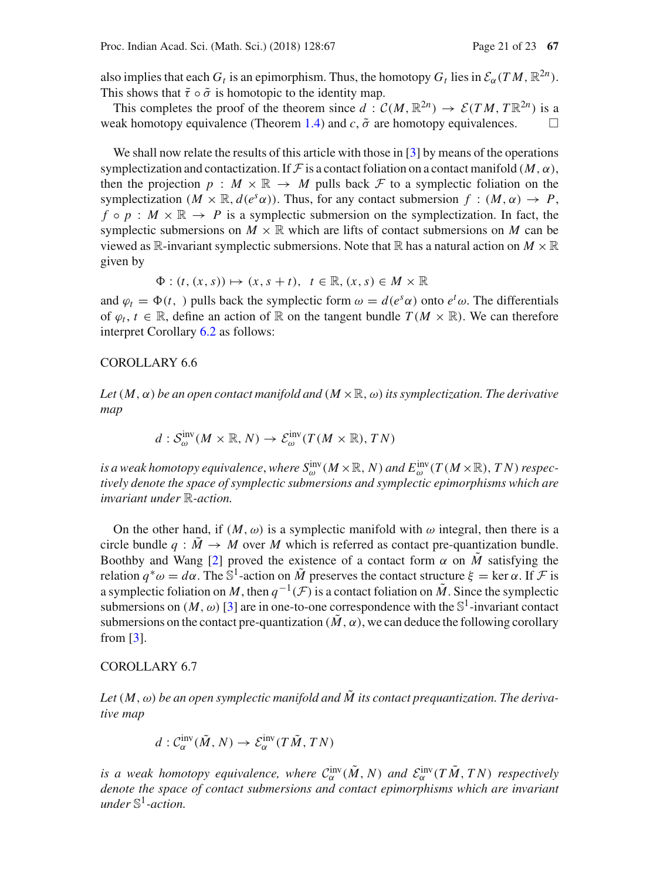also implies that each  $G_t$  is an epimorphism. Thus, the homotopy  $G_t$  lies in  $\mathcal{E}_{\alpha}(TM, \mathbb{R}^{2n})$ . This shows that  $\tilde{\tau} \circ \tilde{\sigma}$  is homotopic to the identity map.

This completes the proof of the theorem since  $d : C(M, \mathbb{R}^{2n}) \to \mathcal{E}(TM, T\mathbb{R}^{2n})$  is a eak homotopy equivalence (Theorem 1.4) and  $c \tilde{\sigma}$  are homotopy equivalences weak homotopy equivalence (Theorem [1.4\)](#page-1-0) and  $c$ ,  $\tilde{\sigma}$  are homotopy equivalences.

We shall now relate the results of this article with those in [\[3\]](#page-22-5) by means of the operations symplectization and contactization. If  $\mathcal F$  is a contact foliation on a contact manifold  $(M, \alpha)$ , then the projection  $p : M \times \mathbb{R} \to M$  pulls back  $\mathcal F$  to a symplectic foliation on the symplectization ( $M \times \mathbb{R}$ ,  $d(e^s \alpha)$ ). Thus, for any contact submersion  $f : (M, \alpha) \rightarrow P$ ,  $f \circ p : M \times \mathbb{R} \to P$  is a symplectic submersion on the symplectization. In fact, the symplectic submersions on  $M \times \mathbb{R}$  which are lifts of contact submersions on M can be viewed as  $\mathbb{R}$ -invariant symplectic submersions. Note that  $\mathbb{R}$  has a natural action on  $M \times \mathbb{R}$ given by

$$
\Phi: (t, (x, s)) \mapsto (x, s+t), \ t \in \mathbb{R}, (x, s) \in M \times \mathbb{R}
$$

and  $\varphi_t = \Phi(t, \cdot)$  pulls back the symplectic form  $\omega = d(e^s \alpha)$  onto  $e^t \omega$ . The differentials of  $\varphi_t, t \in \mathbb{R}$ , define an action of  $\mathbb{R}$  on the tangent bundle  $T(M \times \mathbb{R})$ . We can therefore interpret Corollary [6.2](#page-17-1) as follows:

#### COROLLARY 6.6

*Let*(*M*, α) *be an open contact manifold and* (*<sup>M</sup>* <sup>×</sup>R, ω)*its symplectization. The derivative map*

$$
d: \mathcal{S}_{\omega}^{\text{inv}}(M \times \mathbb{R}, N) \to \mathcal{E}_{\omega}^{\text{inv}}(T(M \times \mathbb{R}), TN)
$$

is a weak homotopy equivalence, where  $S_\omega^{\text{inv}}(M\times\mathbb{R},N)$  and  $E_\omega^{\text{inv}}(T(M\times\mathbb{R}),TN)$  respec*tively denote the space of symplectic submersions and symplectic epimorphisms which are invariant under* R*-action.*

On the other hand, if  $(M, \omega)$  is a symplectic manifold with  $\omega$  integral, then there is a circle bundle  $q : \tilde{M} \to M$  over M which is referred as contact pre-quantization bundle. Boothby and Wang [\[2](#page-22-18)] proved the existence of a contact form  $\alpha$  on  $\tilde{M}$  satisfying the relation  $q^*\omega = d\alpha$ . The S<sup>1</sup>-action on  $\tilde{M}$  preserves the contact structure  $\xi = \ker \alpha$ . If  $\mathcal F$  is a symplectic foliation on *M*, then  $q^{-1}(\mathcal{F})$  is a contact foliation on  $\tilde{M}$ . Since the symplectic submersions on  $(M, \omega)$  [\[3\]](#page-22-5) are in one-to-one correspondence with the  $\mathbb{S}^1$ -invariant contact submersions on the contact pre-quantization  $(M, \alpha)$ , we can deduce the following corollary from [\[3\]](#page-22-5).

### COROLLARY 6.7

Let  $(M, \omega)$  be an open symplectic manifold and  $\tilde{M}$  its contact prequantization. The deriva*tive map*

$$
d: \mathcal{C}_{\alpha}^{\text{inv}}(\tilde{M}, N) \to \mathcal{E}_{\alpha}^{\text{inv}}(T\tilde{M}, TN)
$$

*is a weak homotopy equivalence, where*  $C^{\text{inv}}_{\alpha}(\tilde{M}, N)$  *and*  $\mathcal{E}^{\text{inv}}_{\alpha}(T\tilde{M}, TN)$  *respectively denote the space of contact submersions and contact epimorphisms which are invariant under* S1*-action.*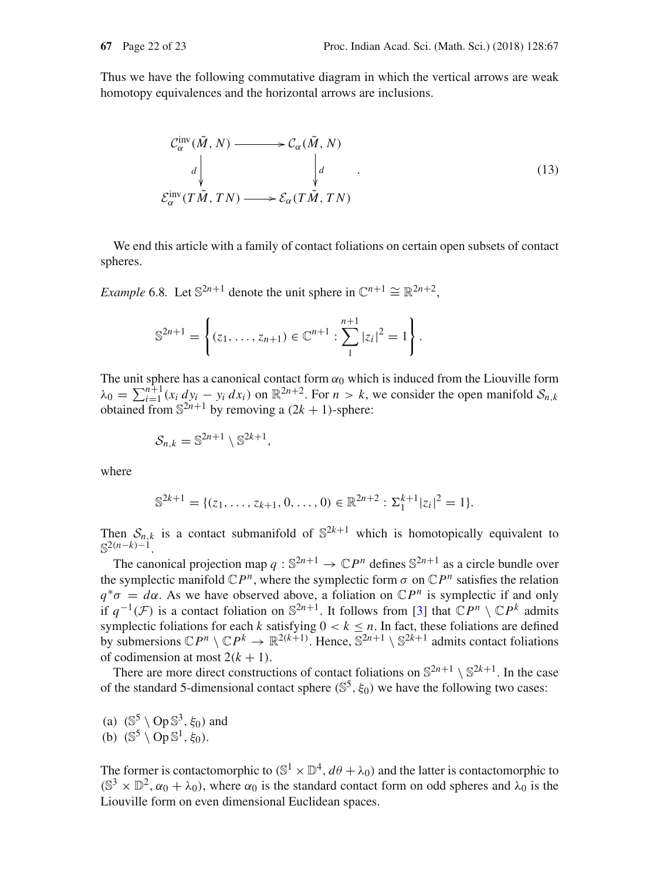Thus we have the following commutative diagram in which the vertical arrows are weak homotopy equivalences and the horizontal arrows are inclusions.

$$
\begin{aligned}\n\mathcal{C}_{\alpha}^{\text{inv}}(\tilde{M}, N) &\longrightarrow \mathcal{C}_{\alpha}(\tilde{M}, N) \\
d &\downarrow \qquad \qquad d \\
\mathcal{E}_{\alpha}^{\text{inv}}(T\tilde{M}, TN) &\longrightarrow \mathcal{E}_{\alpha}(T\tilde{M}, TN)\n\end{aligned} \tag{13}
$$

We end this article with a family of contact foliations on certain open subsets of contact spheres.

*Example* 6.8*.* Let  $\mathbb{S}^{2n+1}$  denote the unit sphere in  $\mathbb{C}^{n+1} \cong \mathbb{R}^{2n+2}$ ,

$$
\mathbb{S}^{2n+1} = \left\{ (z_1, \ldots, z_{n+1}) \in \mathbb{C}^{n+1} : \sum_{1}^{n+1} |z_i|^2 = 1 \right\}.
$$

The unit sphere has a canonical contact form  $\alpha_0$  which is induced from the Liouville form  $\lambda_0 = \sum_{i=1}^{n+1} (x_i \, dy_i - y_i \, dx_i)$  on  $\mathbb{R}^{2n+2}$ . For  $n > k$ , we consider the open manifold  $S_{n,k}$ obtained from  $\mathbb{S}^{2n+1}$  by removing a  $(2k + 1)$ -sphere:

$$
\mathcal{S}_{n,k} = \mathbb{S}^{2n+1} \setminus \mathbb{S}^{2k+1},
$$

where

$$
\mathbb{S}^{2k+1} = \{ (z_1, \ldots, z_{k+1}, 0, \ldots, 0) \in \mathbb{R}^{2n+2} : \Sigma_1^{k+1} |z_i|^2 = 1 \}.
$$

Then  $S_{n,k}$  is a contact submanifold of  $S^{2k+1}$  which is homotopically equivalent to  $\mathbb{S}^{2(n-k)-1}$ .

The canonical projection map  $q : \mathbb{S}^{2n+1} \to \mathbb{C}P^n$  defines  $\mathbb{S}^{2n+1}$  as a circle bundle over the symplectic manifold  $\mathbb{C}P^n$ , where the symplectic form  $\sigma$  on  $\mathbb{C}P^n$  satisfies the relation  $q^* \sigma = d\alpha$ . As we have observed above, a foliation on  $\mathbb{C}P^n$  is symplectic if and only if  $q^{-1}(\mathcal{F})$  is a contact foliation on  $\mathbb{S}^{2n+1}$ . It follows from [\[3](#page-22-5)] that  $\mathbb{C}P^n \setminus \mathbb{C}P^k$  admits symplectic foliations for each *k* satisfying  $0 < k \leq n$ . In fact, these foliations are defined by submersions  $\mathbb{C}P^n \setminus \mathbb{C}P^k \to \mathbb{R}^{2(k+1)}$ . Hence,  $\mathbb{S}^{2n+1} \setminus \mathbb{S}^{2k+1}$  admits contact foliations of codimension at most  $2(k + 1)$ .

There are more direct constructions of contact foliations on  $\mathbb{S}^{2n+1} \setminus \mathbb{S}^{2k+1}$ . In the case of the standard 5-dimensional contact sphere ( $\mathbb{S}^5$ ,  $\xi_0$ ) we have the following two cases:

(a)  $(\mathbb{S}^5 \setminus \text{Op } \mathbb{S}^3, \xi_0)$  and (b)  $(\mathbb{S}^5 \setminus \text{Op} \, \mathbb{S}^1, \xi_0)$ .

The former is contactomorphic to  $(\mathbb{S}^1 \times \mathbb{D}^4, d\theta + \lambda_0)$  and the latter is contactomorphic to  $(S^3 \times \mathbb{D}^2, \alpha_0 + \lambda_0)$ , where  $\alpha_0$  is the standard contact form on odd spheres and  $\lambda_0$  is the Liouville form on even dimensional Euclidean spaces.